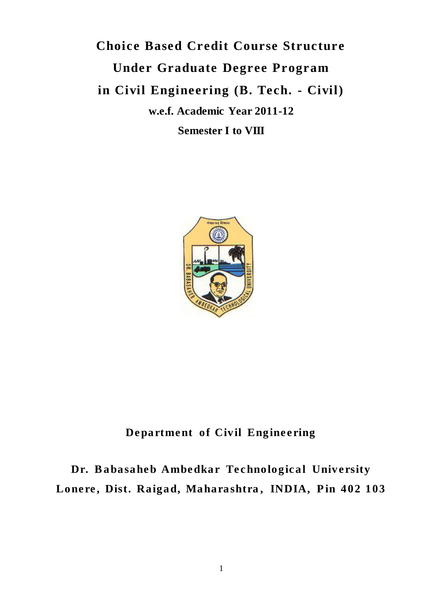**Choice Based Credit Course Structure Under Graduate Degree Program in Civil Engineering (B. Tech. - Civil) w.e.f. Academic Year 2011-12 Semester I to VIII**



**De partme nt of Civil Engine e ring**

**Dr. Babasahe b Ambe dkar Te c hnologic al Unive rsity**  Lonere, Dist. Raigad, Maharashtra, INDIA, Pin 402 103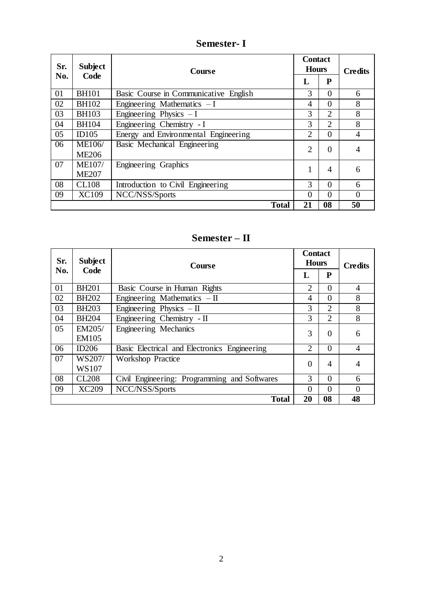#### **Sr. No. Subject Code Course Contact Hours Credits Credits**  $\mathbf{L}$ 01 BH101 Basic Course in Communicative English 3 0 6<br>02 BH102 Engineering Mathematics - I 4 0 8 02 BH102 Engineering Mathematics – I 4 0 8<br>03 BH103 Engineering Physics – I 3 2 8 03 BH103 Engineering Physics – I 3 2 8<br>04 BH104 Engineering Chemistry - I 3 2 8 04 BH104 Engineering Chemistry - I<br>05 ID105 Energy and Environmental Engineering 2 0 05 ID105 Energy and Environmental Engineering 2 0 4<br>06 ME106/ Basic Mechanical Engineering ME106/ ME206 Basic Mechanical Engineering 2 0 4 07 ME107/ ME207<br>CL108 Engineering Graphics 1 4 6 08 CL108 Introduction to Civil Engineering 3 0 6<br>09 XC109 NCC/NSS/Sports 0 0 0 NCC/NSS/Sports 0 0 0 0 0 0 0 0 0 0 0 0 0 1 0 1 1 0 1 1 0 1 1 0 1 1 0 1 1 0 1 1 0 1 1 0 1 1 0 1 1 0 1 1 0 1 1 0 1 1 0 1 1 0 1 1 0 1 1 0 1 1 0 1 1 0 1 1 0 1 1 0 1 1 0 1 1 0 1 1 0 1 1 0 1 1 0 1 1 0 1 1 0 1 1 0 1 1 0 1 1 0 1 1  **Total 21 08 50**

# **Semester- I**

# **Semester – II**

| Sr. | <b>Subject</b> | <b>Course</b>                                | <b>Contact</b><br><b>Hours</b> |                | <b>Credits</b> |
|-----|----------------|----------------------------------------------|--------------------------------|----------------|----------------|
|     | Code<br>No.    |                                              | L                              | P              |                |
| 01  | <b>BH201</b>   | Basic Course in Human Rights                 | 2                              | $\theta$       | $\overline{4}$ |
| 02  | <b>BH202</b>   | Engineering Mathematics $-II$                | 4                              | $\theta$       | 8              |
| 03  | <b>BH203</b>   | Engineering Physics $-$ II                   | 3                              | $\overline{2}$ | 8              |
| 04  | <b>BH204</b>   | Engineering Chemistry - II                   | 3                              | $\overline{2}$ | 8              |
| 05  | EM205/         | Engineering Mechanics                        | 3                              | $\theta$       | 6              |
|     | EM105          |                                              |                                |                |                |
| 06  | ID206          | Basic Electrical and Electronics Engineering | $\overline{2}$                 | $\Omega$       | $\overline{4}$ |
| 07  | WS207/         | <b>Workshop Practice</b>                     | $\overline{0}$                 | 4              | $\overline{4}$ |
|     | WS107          |                                              |                                |                |                |
| 08  | <b>CL208</b>   | Civil Engineering: Programming and Softwares | 3                              | $\theta$       | 6              |
| 09  | <b>XC209</b>   | NCC/NSS/Sports                               | $\theta$                       | $\theta$       | $\theta$       |
|     |                | <b>Total</b>                                 | 20                             | 08             | 48             |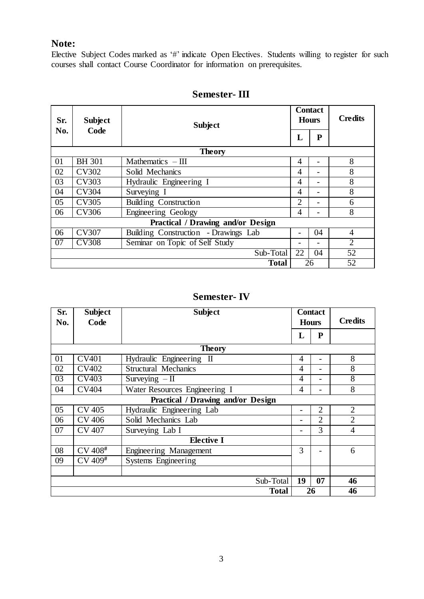# **Note:**

Elective Subject Codes marked as '#' indicate Open Electives. Students willing to register for such courses shall contact Course Coordinator for information on prerequisites.

| Sr. | <b>Subject</b><br><b>Subject</b><br>Code | <b>Contact</b><br><b>Hours</b>       |                | <b>Credits</b> |                |  |
|-----|------------------------------------------|--------------------------------------|----------------|----------------|----------------|--|
| No. |                                          |                                      | L              | ${\bf P}$      |                |  |
|     |                                          | <b>Theory</b>                        |                |                |                |  |
| 01  | <b>BH</b> 301                            | Mathematic $s$ – III                 | 4              |                | 8              |  |
| 02  | <b>CV302</b>                             | Solid Mechanics                      | 4              |                | 8              |  |
| 03  | CV303                                    | Hydraulic Engineering I              | $\overline{4}$ |                | 8              |  |
| 04  | <b>CV304</b>                             | Surveying I                          | $\overline{4}$ |                | 8              |  |
| 05  | <b>CV305</b>                             | <b>Building Construction</b>         | $\overline{2}$ |                | 6              |  |
| 06  | CV306                                    | Engineering Geology                  | 4              |                | 8              |  |
|     | Practical / Drawing and/or Design        |                                      |                |                |                |  |
| 06  | <b>CV307</b>                             | Building Construction - Drawings Lab |                | 04             | $\overline{4}$ |  |
| 07  | <b>CV308</b>                             | Seminar on Topic of Self Study       |                |                | $\overline{2}$ |  |
|     |                                          | Sub-Total                            | 22             | 04             | 52             |  |
|     |                                          | <b>Total</b>                         |                | 26             | 52             |  |

# **Semester- III**

# **Semester- IV**

| Sr.<br>No.                               | <b>Subject</b><br>Code | <b>Subject</b>                | <b>Contact</b><br><b>Hours</b> |                | <b>Credits</b> |
|------------------------------------------|------------------------|-------------------------------|--------------------------------|----------------|----------------|
|                                          |                        |                               | L                              | P              |                |
|                                          |                        | <b>Theory</b>                 |                                |                |                |
| 01                                       | <b>CV401</b>           | Hydraulic Engineering<br>Ш    | $\overline{4}$                 | $\overline{a}$ | 8              |
| 02                                       | <b>CV402</b>           | <b>Structural Mechanics</b>   | 4                              |                | 8              |
| 03                                       | CV403                  | Surveying $-II$               | 4                              |                | 8              |
| 04                                       | <b>CV404</b>           | Water Resources Engineering I | 4                              |                | 8              |
| <b>Practical / Drawing and/or Design</b> |                        |                               |                                |                |                |
| 05                                       | <b>CV 405</b>          | Hydraulic Engineering Lab     |                                | $\overline{2}$ | $\overline{2}$ |
| 06                                       | <b>CV 406</b>          | Solid Mechanics Lab           |                                | $\overline{2}$ | $\overline{2}$ |
| 07                                       | <b>CV 407</b>          | Surveying Lab I               |                                | 3              | $\overline{4}$ |
|                                          |                        | <b>Elective I</b>             |                                |                |                |
| 08                                       | CV 408 <sup>#</sup>    | Engineering Management        | 3                              |                | 6              |
| 09                                       | CV 409 <sup>#</sup>    | Systems Engineering           |                                |                |                |
|                                          |                        |                               |                                |                |                |
|                                          |                        | Sub-Total                     | 19                             | 07             | 46             |
|                                          |                        | <b>Total</b>                  |                                | 26             | 46             |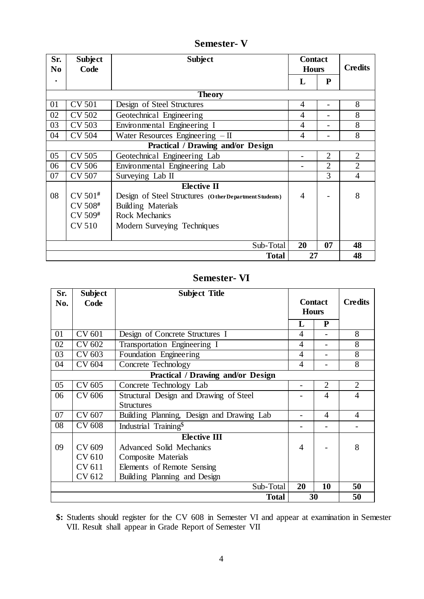**Sr. No . Subject Code Subject Contact Hours Credits L P Theory** 01 | CV 501 | Design of Steel Structures | 4 | - | 8 02 CV 502 Geotechnical Engineering 4 - 8<br>03 CV 503 Environmental Engineering I 4 - 8  $03$  CV 503 Environmental Engineering I 4 -04 CV 504 Water Resources Engineering – II 4 4 8 **Practical / Drawing and/or Design** 05 CV 505 Geotechnical Engineering Lab 2 2 2 06 CV 506 Environmental Engineering Lab 2 2 2 07 CV 507 Surveying Lab II 3 4 08 CV 501**#** CV 508**#** CV 509**#** CV 510 **Elective II** Design of Steel Structures **(O ther Department Students)** Building Materials Rock Mechanics Modern Surveying Techniques 4 - 8 Sub-Total **20 07 48 Total 27 48**

**Semester- V**

# **Semester- VI**

| Sr. | <b>Subject</b> | <b>Subject Title</b>                      |                                |                |                |
|-----|----------------|-------------------------------------------|--------------------------------|----------------|----------------|
| No. | Code           |                                           | <b>Contact</b><br><b>Hours</b> |                | <b>Credits</b> |
|     |                |                                           | L                              | ${\bf P}$      |                |
| 01  | CV 601         | Design of Concrete Structures I           | 4                              |                | 8              |
| 02  | CV 602         | Transportation Engineering I              | $\overline{4}$                 |                | 8              |
| 03  | CV 603         | Foundation Engineering                    | 4                              |                | 8              |
| 04  | CV 604         | Concrete Technology                       | 4                              |                | 8              |
|     |                | Practical / Drawing and/or Design         |                                |                |                |
| 05  | CV 605         | Concrete Technology Lab                   | -                              | $\overline{2}$ | $\overline{2}$ |
| 06  | CV 606         | Structural Design and Drawing of Steel    |                                | $\overline{4}$ | $\overline{4}$ |
|     |                | <b>Structures</b>                         |                                |                |                |
| 07  | CV 607         | Building Planning, Design and Drawing Lab |                                | 4              | $\overline{4}$ |
| 08  | <b>CV 608</b>  | Industrial Training <sup>\$</sup>         |                                |                |                |
|     |                | <b>Elective III</b>                       |                                |                |                |
| 09  | CV 609         | <b>Advanced Solid Mechanics</b>           | 4                              |                | 8              |
|     | CV 610         | <b>Composite Materials</b>                |                                |                |                |
|     | CV 611         | Elements of Remote Sensing                |                                |                |                |
|     | CV 612         | Building Planning and Design              |                                |                |                |
|     |                | Sub-Total                                 | 20                             | 10             | 50             |
|     |                | <b>Total</b>                              | 30                             |                | 50             |

**\$:** Students should register for the CV 608 in Semester VI and appear at examination in Semester VII. Result shall appear in Grade Report of Semester VII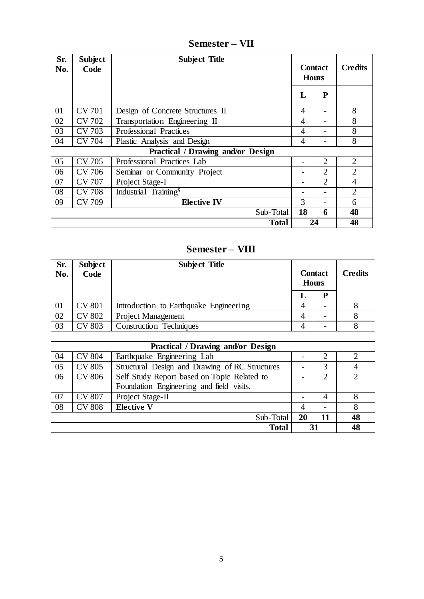| Sr.<br>No.                        | <b>Subject</b><br>Code | <b>Subject Title</b>              | <b>Contact</b><br><b>Hours</b> |                | <b>Credits</b> |
|-----------------------------------|------------------------|-----------------------------------|--------------------------------|----------------|----------------|
|                                   |                        |                                   | L                              | $\mathbf{P}$   |                |
| 01                                | <b>CV 701</b>          | Design of Concrete Structures II  | $\overline{4}$                 |                | 8              |
| 02                                | CV 702                 | Transportation Engineering II     | 4                              |                | 8              |
| 03                                | <b>CV 703</b>          | Professional Practices            | $\overline{4}$                 |                | 8              |
| 04                                | <b>CV 704</b>          | Plastic Analysis and Design       | 4                              |                | 8              |
| Practical / Drawing and/or Design |                        |                                   |                                |                |                |
| 05                                | <b>CV 705</b>          | Professional Practices Lab        |                                | $\overline{2}$ | $\overline{2}$ |
| 06                                | <b>CV 706</b>          | Seminar or Community Project      |                                | $\overline{2}$ | $\overline{2}$ |
| 07                                | <b>CV 707</b>          | Project Stage-I                   |                                | $\overline{2}$ | $\overline{4}$ |
| 08                                | <b>CV 708</b>          | Industrial Training <sup>\$</sup> |                                |                | $\overline{2}$ |
| 09                                | <b>CV 709</b>          | <b>Elective IV</b>                | 3                              |                | 6              |
|                                   |                        | Sub-Total                         | 18                             | 6              | 48             |
|                                   |                        | <b>Total</b>                      |                                | 24             | 48             |

**Semester – VII**

# **Semester – VIII**

| Sr.<br>No.                               | <b>Subject</b><br>Code | <b>Subject Title</b>                           | <b>Contact</b><br><b>Hours</b> |                | <b>Credits</b> |
|------------------------------------------|------------------------|------------------------------------------------|--------------------------------|----------------|----------------|
|                                          |                        |                                                | L                              | P              |                |
| 01                                       | <b>CV 801</b>          | Introduction to Earthquake Engineering         | 4                              |                | 8              |
| 02                                       | <b>CV 802</b>          | <b>Project Management</b>                      | 4                              |                | 8              |
| 03                                       | <b>CV 803</b>          | <b>Construction Techniques</b>                 | $\overline{4}$                 |                | 8              |
|                                          |                        |                                                |                                |                |                |
| <b>Practical / Drawing and/or Design</b> |                        |                                                |                                |                |                |
| 04                                       | <b>CV 804</b>          | Earthquake Engineering Lab                     |                                | $\overline{2}$ | $\overline{2}$ |
| 05                                       | <b>CV 805</b>          | Structural Design and Drawing of RC Structures |                                | 3              | $\overline{4}$ |
| 06                                       | <b>CV 806</b>          | Self Study Report based on Topic Related to    |                                | $\overline{2}$ | $\overline{2}$ |
|                                          |                        | Foundation Engineering and field visits.       |                                |                |                |
| 07                                       | <b>CV 807</b>          | Project Stage-II                               |                                | 4              | 8              |
| 08                                       | <b>CV 808</b>          | <b>Elective V</b>                              | 4                              |                | 8              |
|                                          |                        | Sub-Total                                      | 20                             | 11             | 48             |
|                                          |                        | <b>Total</b>                                   | 31                             |                | 48             |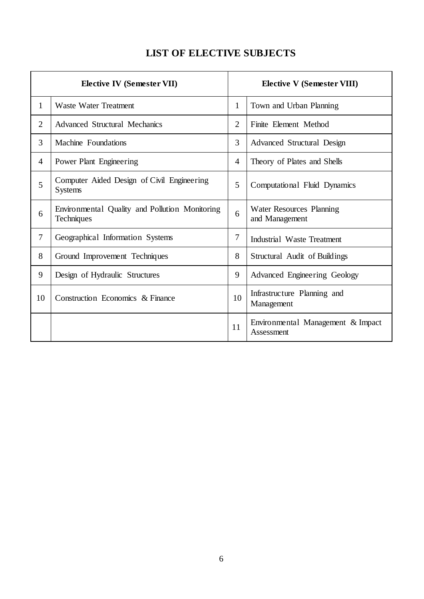# **LIST OF ELECTIVE SUBJECTS**

| <b>Elective IV (Semester VII)</b> |                                                              |                | <b>Elective V (Semester VIII)</b>               |
|-----------------------------------|--------------------------------------------------------------|----------------|-------------------------------------------------|
| $\mathbf{1}$                      | <b>Waste Water Treatment</b>                                 | 1              | Town and Urban Planning                         |
| $\overline{2}$                    | <b>Advanced Structural Mechanics</b>                         | $\overline{2}$ | Finite Element Method                           |
| 3                                 | Machine Foundations                                          | 3              | Advanced Structural Design                      |
| $\overline{4}$                    | Power Plant Engineering                                      | 4              | Theory of Plates and Shells                     |
| 5                                 | Computer Aided Design of Civil Engineering<br><b>Systems</b> | 5              | Computational Fluid Dynamics                    |
| 6                                 | Environmental Quality and Pollution Monitoring<br>Techniques | 6              | Water Resources Planning<br>and Management      |
| $\overline{7}$                    | Geographical Information Systems                             | 7              | Industrial Waste Treatment                      |
| 8                                 | Ground Improvement Techniques                                | 8              | Structural Audit of Buildings                   |
| 9                                 | Design of Hydraulic Structures                               | 9              | Advanced Engineering Geology                    |
| 10                                | Construction Economics & Finance                             | 10             | Infrastructure Planning and<br>Management       |
|                                   |                                                              | 11             | Environmental Management & Impact<br>Assessment |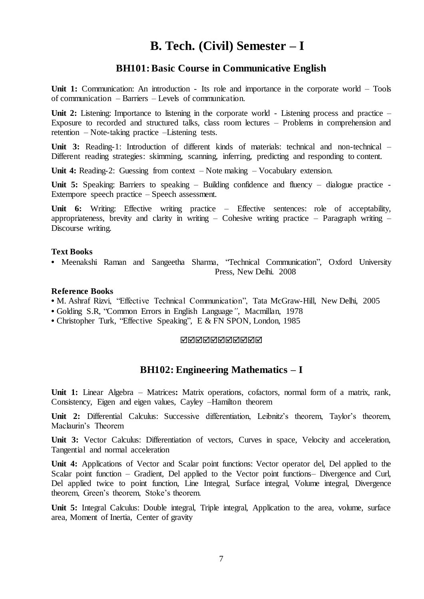# **B. Tech. (Civil) Semester – I**

# **BH101:Basic Course in Communicative English**

Unit 1: Communication: An introduction - Its role and importance in the corporate world – Tools of communication – Barriers – Levels of communication.

Unit 2: Listening: Importance to listening in the corporate world - Listening process and practice – Exposure to recorded and structured talks, class room lectures – Problems in comprehension and retention – Note-taking practice –Listening tests.

Unit 3: Reading-1: Introduction of different kinds of materials: technical and non-technical – Different reading strategies: skimming, scanning, inferring, predicting and responding to content.

Unit 4: Reading-2: Guessing from context – Note making – Vocabulary extension.

**Unit 5:** Speaking: Barriers to speaking – Building confidence and fluency – dialogue practice - Extempore speech practice – Speech assessment.

**Unit 6:** Writing: Effective writing practice – Effective sentences: role of acceptability, appropriateness, brevity and clarity in writing – Cohesive writing practice – Paragraph writing – Discourse writing.

#### **Text Books**

**•** Meenakshi Raman and Sangeetha Sharma, "Technical Communication", Oxford University Press, New Delhi. 2008

## **Reference Books**

- M. Ashraf Rizvi, "Effective Technical Communication", Tata McGraw-Hill, New Delhi, 2005
- **•** Golding S.R, "Common Errors in English Language*"*, Macmillan, 1978
- **•** Christopher Turk, "Effective Speaking", E & FN SPON, London, 1985

#### **NNNNNNNNNN**

# **BH102: Engineering Mathematics – I**

**Unit 1:** Linear Algebra – Matrices**:** Matrix operations, cofactors, normal form of a matrix, rank, Consistency, Eigen and eigen values, Cayley –Hamilton theorem

**Unit 2:** Differential Calculus: Successive differentiation, Leibnitz's theorem, Taylor's theorem, Maclaurin's Theorem

**Unit 3:** Vector Calculus: Differentiation of vectors, Curves in space, Velocity and acceleration, Tangential and normal acceleration

**Unit 4:** Applications of Vector and Scalar point functions: Vector operator del, Del applied to the Scalar point function – Gradient, Del applied to the Vector point functions– Divergence and Curl, Del applied twice to point function, Line Integral, Surface integral, Volume integral, Divergence theorem, Green's theorem, Stoke's theorem.

**Unit 5:** Integral Calculus: Double integral, Triple integral, Application to the area, volume, surface area, Moment of Inertia, Center of gravity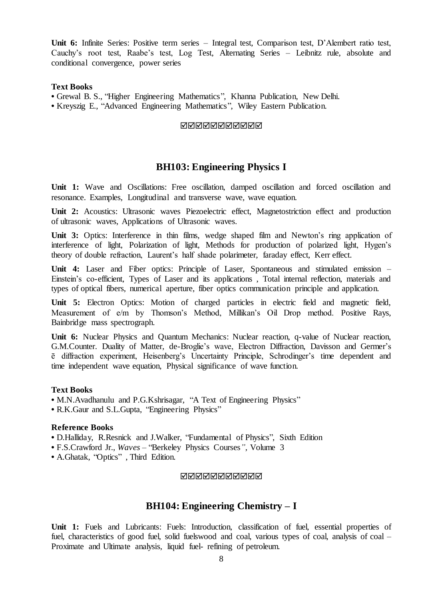**Unit 6:** Infinite Series: Positive term series – Integral test, Comparison test, D'Alembert ratio test, Cauchy's root test, Raabe's test, Log Test, Alternating Series – Leibnitz rule, absolute and conditional convergence, power series

### **Text Books**

**•** Grewal B. S., "Higher Engineering Mathematics", Khanna Publication, New Delhi. **•** Kreyszig E., "Advanced Engineering Mathematics", Wiley Eastern Publication.

#### **NNNNNNNNNN**

# **BH103: Engineering Physics I**

**Unit 1:** Wave and Oscillations: Free oscillation, damped oscillation and forced oscillation and resonance. Examples, Longitudinal and transverse wave, wave equation.

**Unit 2:** Acoustics: Ultrasonic waves Piezoelectric effect, Magnetostriction effect and production of ultrasonic waves, Applications of Ultrasonic waves.

Unit 3: Optics: Interference in thin films, wedge shaped film and Newton's ring application of interference of light, Polarization of light, Methods for production of polarized light, Hygen's theory of double refraction, Laurent's half shade polarimeter, faraday effect, Kerr effect.

**Unit 4:** Laser and Fiber optics: Principle of Laser, Spontaneous and stimulated emission – Einstein's co-efficient, Types of Laser and its applications , Total internal reflection, materials and types of optical fibers, numerical aperture, fiber optics communication principle and application.

Unit 5: Electron Optics: Motion of charged particles in electric field and magnetic field, Measurement of e/m by Thomson's Method, Millikan's Oil Drop method. Positive Rays, Bainbridge mass spectrograph.

**Unit 6:** Nuclear Physics and Quantum Mechanics: Nuclear reaction, q-value of Nuclear reaction, G.M.Counter. Duality of Matter, de-Broglie's wave, Electron Diffraction, Davisson and Germer's ē diffraction experiment, Heisenberg's Uncertainty Principle, Schrodinger's time dependent and time independent wave equation, Physical significance of wave function.

#### **Text Books**

• M.N.Avadhanulu and P.G.Kshrisagar, "A Text of Engineering Physics"

• R.K.Gaur and S.L.Gupta, "Engineering Physics"

### **Reference Books**

**•** D.Halliday, R.Resnick and J.Walker, "Fundamental of Physics", Sixth Edition

**•** F.S.Crawford Jr., *Waves –* "Berkeley Physics Courses*",* Volume 3

**•** A.Ghatak, "Optics" , Third Edition.

**NNNNNNNNNN** 

# **BH104: Engineering Chemistry – I**

Unit 1: Fuels and Lubricants: Fuels: Introduction, classification of fuel, essential properties of fuel, characteristics of good fuel, solid fuelswood and coal, various types of coal, analysis of coal – Proximate and Ultimate analysis, liquid fuel- refining of petroleum.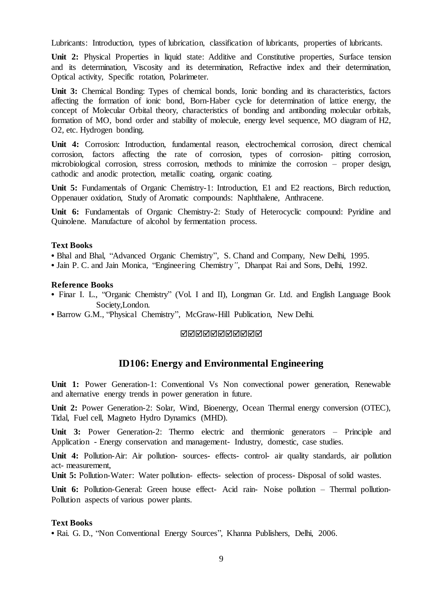Lubricants: Introduction, types of lubrication, classification of lubricants, properties of lubricants.

**Unit 2:** Physical Properties in liquid state: Additive and Constitutive properties, Surface tension and its determination, Viscosity and its determination, Refractive index and their determination, Optical activity, Specific rotation, Polarimeter.

Unit 3: Chemical Bonding: Types of chemical bonds, Ionic bonding and its characteristics, factors affecting the formation of ionic bond, Born-Haber cycle for determination of lattice energy, the concept of Molecular Orbital theory, characteristics of bonding and antibonding molecular orbitals, formation of MO, bond order and stability of molecule, energy level sequence, MO diagram of H2, O2, etc. Hydrogen bonding.

**Unit 4:** Corrosion: Introduction, fundamental reason, electrochemical corrosion, direct chemical corrosion, factors affecting the rate of corrosion, types of corrosion- pitting corrosion, microbiological corrosion, stress corrosion, methods to minimize the corrosion – proper design, cathodic and anodic protection, metallic coating, organic coating.

Unit 5: Fundamentals of Organic Chemistry-1: Introduction, E1 and E2 reactions, Birch reduction, Oppenauer oxidation, Study of Aromatic compounds: Naphthalene, Anthracene.

Unit 6: Fundamentals of Organic Chemistry-2: Study of Heterocyclic compound: Pyridine and Quinolene. Manufacture of alcohol by fermentation process.

#### **Text Books**

**•** Bhal and Bhal, "Advanced Organic Chemistry"*,* S. Chand and Company, New Delhi, 1995.

**•** Jain P. C. and Jain Monica, "Engineering Chemistry*"*, Dhanpat Rai and Sons, Delhi, 1992.

#### **Reference Books**

- **•** Finar I. L., "Organic Chemistry" (Vol. I and II), Longman Gr. Ltd. and English Language Book Society,London.
- **•** Barrow G.M., "Physical Chemistry", McGraw-Hill Publication, New Delhi.

#### <u>NNNNNNNNNNN</u>

# **ID106: Energy and Environmental Engineering**

Unit 1: Power Generation-1: Conventional Vs Non convectional power generation, Renewable and alternative energy trends in power generation in future.

**Unit 2:** Power Generation-2: Solar, Wind, Bioenergy, Ocean Thermal energy conversion (OTEC), Tidal, Fuel cell, Magneto Hydro Dynamics (MHD).

Unit 3: Power Generation-2: Thermo electric and thermionic generators – Principle and Application - Energy conservation and management- Industry, domestic, case studies.

**Unit 4:** Pollution-Air: Air pollution- sources- effects- control- air quality standards, air pollution act- measurement,

**Unit 5:** Pollution-Water: Water pollution- effects- selection of process- Disposal of solid wastes.

Unit 6: Pollution-General: Green house effect- Acid rain- Noise pollution – Thermal pollution-Pollution aspects of various power plants.

#### **Text Books**

**•** Rai. G. D., "Non Conventional Energy Sources", Khanna Publishers, Delhi, 2006.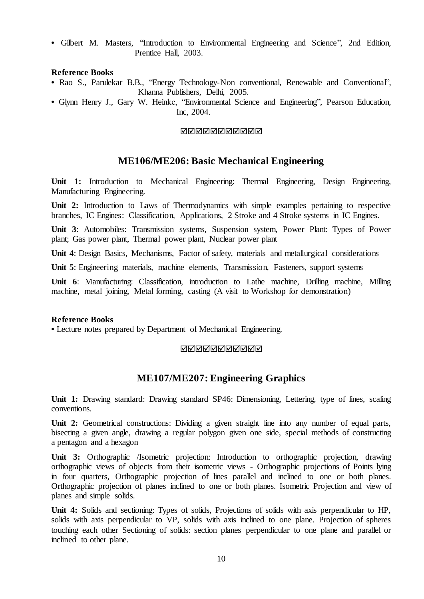**•** Gilbert M. Masters, "Introduction to Environmental Engineering and Science", 2nd Edition, Prentice Hall, 2003.

# **Reference Books**

- **•** Rao S., Parulekar B.B., "Energy Technology-Non conventional, Renewable and Conventional", Khanna Publishers, Delhi, 2005.
- **•** Glynn Henry J., Gary W. Heinke, "Environmental Science and Engineering", Pearson Education, Inc, 2004.

## **NANANANANAN**

# **ME106/ME206: Basic Mechanical Engineering**

**Unit 1:** Introduction to Mechanical Engineering: Thermal Engineering, Design Engineering, Manufacturing Engineering.

Unit 2: Introduction to Laws of Thermodynamics with simple examples pertaining to respective branches, IC Engines: Classification, Applications, 2 Stroke and 4 Stroke systems in IC Engines.

**Unit 3**: Automobiles: Transmission systems, Suspension system, Power Plant: Types of Power plant; Gas power plant, Thermal power plant, Nuclear power plant

**Unit 4**: Design Basics, Mechanisms, Factor of safety, materials and metallurgical considerations

**Unit 5**: Engineering materials, machine elements, Transmission, Fasteners, support systems

**Unit 6**: Manufacturing: Classification, introduction to Lathe machine, Drilling machine, Milling machine, metal joining, Metal forming, casting (A visit to Workshop for demonstration)

### **Reference Books**

**•** Lecture notes prepared by Department of Mechanical Engineering.

#### **NNNNNNNNNN**

# **ME107/ME207: Engineering Graphics**

**Unit 1:** Drawing standard: Drawing standard SP46: Dimensioning, Lettering, type of lines, scaling conventions.

Unit 2: Geometrical constructions: Dividing a given straight line into any number of equal parts, bisecting a given angle, drawing a regular polygon given one side, special methods of constructing a pentagon and a hexagon

**Unit 3:** Orthographic /Isometric projection: Introduction to orthographic projection, drawing orthographic views of objects from their isometric views - Orthographic projections of Points lying in four quarters, Orthographic projection of lines parallel and inclined to one or both planes. Orthographic projection of planes inclined to one or both planes. Isometric Projection and view of planes and simple solids.

**Unit 4:** Solids and sectioning: Types of solids, Projections of solids with axis perpendicular to HP, solids with axis perpendicular to VP, solids with axis inclined to one plane. Projection of spheres touching each other Sectioning of solids: section planes perpendicular to one plane and parallel or inclined to other plane.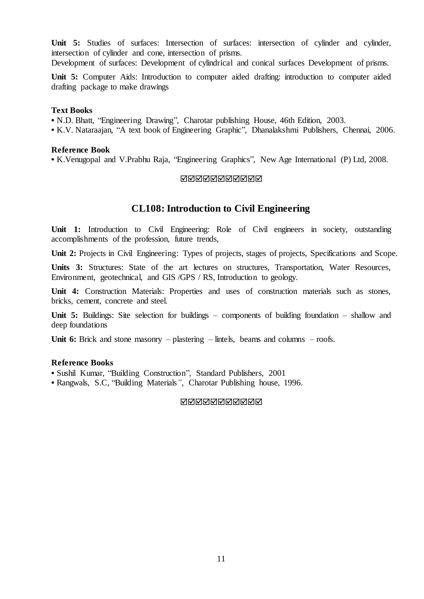**Unit 5:** Studies of surfaces: Intersection of surfaces: intersection of cylinder and cylinder, intersection of cylinder and cone, intersection of prisms.

Development of surfaces: Development of cylindrical and conical surfaces Development of prisms.

**Unit 5:** Computer Aids: Introduction to computer aided drafting: introduction to computer aided drafting package to make drawings

#### **Text Books**

**•** N.D. Bhatt, "Engineering Drawing", Charotar publishing House, 46th Edition, 2003.

**•** K.V. Nataraajan, "A text book of Engineering Graphic", Dhanalakshmi Publishers, Chennai, 2006.

#### **Reference Book**

**•** K.Venugopal and V.Prabhu Raja, "Engineering Graphics", New Age International (P) Ltd, 2008.

#### **NANANANANA**

# **CL108:Introduction to Civil Engineering**

Unit 1: Introduction to Civil Engineering: Role of Civil engineers in society, outstanding accomplishments of the profession, future trends,

Unit 2: Projects in Civil Engineering: Types of projects, stages of projects, Specifications and Scope.

**Units 3:** Structures: State of the art lectures on structures, Transportation, Water Resources, Environment, geotechnical, and GIS /GPS / RS, Introduction to geology.

**Unit 4:** Construction Materials: Properties and uses of construction materials such as stones, bricks, cement, concrete and steel.

Unit 5: Buildings: Site selection for buildings – components of building foundation – shallow and deep foundations

**Unit 6:** Brick and stone masonry – plastering – lintels, beams and columns – roofs.

#### **Reference Books**

**•** Sushil Kumar, "Building Construction", Standard Publishers, 2001

**•** Rangwals, S.C, "Building Materials*"*, Charotar Publishing house, 1996.

#### **MANANANANAN**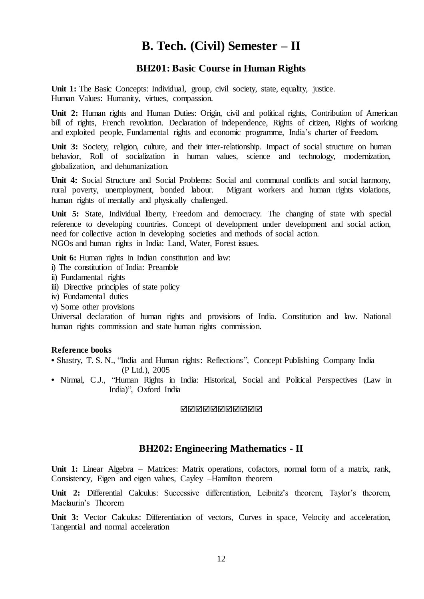# **B. Tech. (Civil) Semester – II**

# **BH201: Basic Course in Human Rights**

**Unit 1:** The Basic Concepts: Individual, group, civil society, state, equality, justice. Human Values: Humanity, virtues, compassion.

**Unit 2:** Human rights and Human Duties: Origin, civil and political rights, Contribution of American bill of rights, French revolution. Declaration of independence, Rights of citizen, Rights of working and exploited people, Fundamental rights and economic programme, India's charter of freedom.

Unit 3: Society, religion, culture, and their inter-relationship. Impact of social structure on human behavior, Roll of socialization in human values, science and technology, modernization, globalization, and dehumanization.

**Unit 4:** Social Structure and Social Problems: Social and communal conflicts and social harmony, rural poverty, unemployment, bonded labour. Migrant workers and human rights violations, human rights of mentally and physically challenged.

Unit 5: State, Individual liberty, Freedom and democracy. The changing of state with special reference to developing countries. Concept of development under development and social action, need for collective action in developing societies and methods of social action. NGOs and human rights in India: Land, Water, Forest issues.

Unit 6: Human rights in Indian constitution and law:

- i) The constitution of India: Preamble
- ii) Fundamental rights
- iii) Directive principles of state policy
- iv) Fundamental duties
- v) Some other provisions

Universal declaration of human rights and provisions of India. Constitution and law. National human rights commission and state human rights commission.

#### **Reference books**

- Shastry, T. S. N., "India and Human rights: Reflections", Concept Publishing Company India (P Ltd.), 2005
- **•** Nirmal, C.J., "Human Rights in India: Historical, Social and Political Perspectives (Law in India)", Oxford India

### **NNNNNNNNNN**

# **BH202: Engineering Mathematics - II**

**Unit 1:** Linear Algebra – Matrices: Matrix operations, cofactors, normal form of a matrix, rank, Consistency, Eigen and eigen values, Cayley –Hamilton theorem

**Unit 2:** Differential Calculus: Successive differentiation, Leibnitz's theorem, Taylor's theorem, Maclaurin's Theorem

**Unit 3:** Vector Calculus: Differentiation of vectors, Curves in space, Velocity and acceleration, Tangential and normal acceleration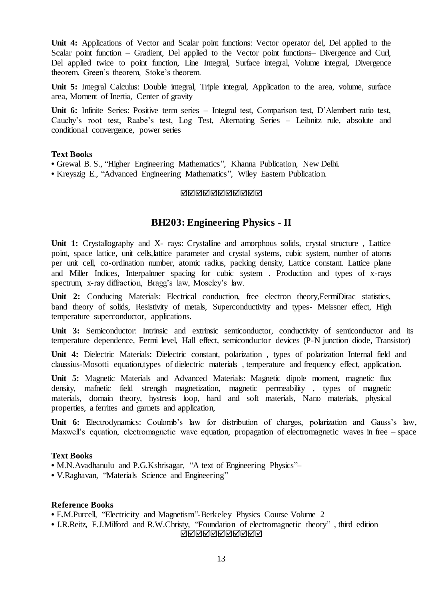**Unit 4:** Applications of Vector and Scalar point functions: Vector operator del, Del applied to the Scalar point function – Gradient, Del applied to the Vector point functions– Divergence and Curl, Del applied twice to point function, Line Integral, Surface integral, Volume integral, Divergence theorem, Green's theorem, Stoke's theorem.

**Unit 5:** Integral Calculus: Double integral, Triple integral, Application to the area, volume, surface area, Moment of Inertia, Center of gravity

**Unit 6:** Infinite Series: Positive term series – Integral test, Comparison test, D'Alembert ratio test, Cauchy's root test, Raabe's test, Log Test, Alternating Series – Leibnitz rule, absolute and conditional convergence, power series

### **Text Books**

**•** Grewal B. S., "Higher Engineering Mathematics", Khanna Publication, New Delhi.

**•** Kreyszig E., "Advanced Engineering Mathematics", Wiley Eastern Publication.

## MMMMMMMMMM

# **BH203: Engineering Physics - II**

**Unit 1:** Crystallography and X- rays: Crystalline and amorphous solids, crystal structure , Lattice point, space lattice, unit cells,lattice parameter and crystal systems, cubic system, number of atoms per unit cell, co-ordination number, atomic radius, packing density, Lattice constant. Lattice plane and Miller Indices, Interpalnner spacing for cubic system . Production and types of x-rays spectrum, x-ray diffraction, Bragg's law, Moseley's law.

**Unit 2:** Conducing Materials: Electrical conduction, free electron theory,FermiDirac statistics, band theory of solids, Resistivity of metals, Superconductivity and types- Meissner effect, High temperature superconductor, applications.

Unit 3: Semiconductor: Intrinsic and extrinsic semiconductor, conductivity of semiconductor and its temperature dependence, Fermi level, Hall effect, semiconductor devices (P-N junction diode, Transistor)

**Unit 4:** Dielectric Materials: Dielectric constant, polarization , types of polarization Internal field and claussius-Mosotti equation,types of dielectric materials , temperature and frequency effect, application.

**Unit 5:** Magnetic Materials and Advanced Materials: Magnetic dipole moment, magnetic flux density, mafnetic field strength magnetization, magnetic permeability , types of magnetic materials, domain theory, hystresis loop, hard and soft materials, Nano materials, physical properties, a ferrites and garnets and application,

**Unit 6:** Electrodynamics: Coulomb's law for distribution of charges, polarization and Gauss's law, Maxwell's equation, electromagnetic wave equation, propagation of electromagnetic waves in free – space

# **Text Books**

**•** M.N.Avadhanulu and P.G.Kshrisagar, "A text of Engineering Physics"–

**•** V.Raghavan, "Materials Science and Engineering"

### **Reference Books**

**•** E.M.Purcell, "Electricity and Magnetism"-Berkeley Physics Course Volume 2

**•** J.R.Reitz, F.J.Milford and R.W.Christy, "Foundation of electromagnetic theory" , third edition

**MANANANANAN**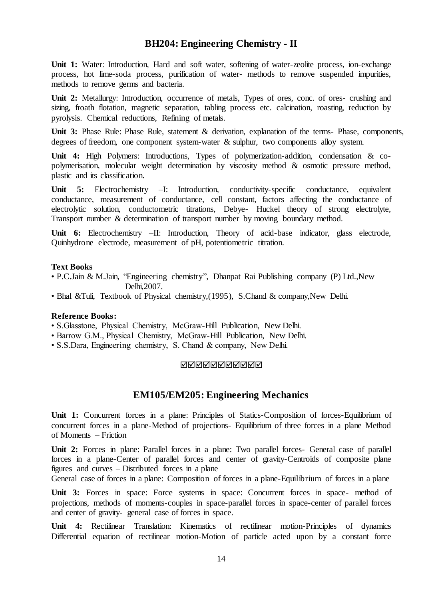# **BH204: Engineering Chemistry - II**

Unit 1: Water: Introduction, Hard and soft water, softening of water-zeolite process, ion-exchange process, hot lime-soda process, purification of water- methods to remove suspended impurities, methods to remove germs and bacteria.

**Unit 2:** Metallurgy: Introduction, occurrence of metals, Types of ores, conc. of ores- crushing and sizing, froath flotation, magnetic separation, tabling process etc. calcination, roasting, reduction by pyrolysis. Chemical reductions, Refining of metals.

**Unit 3:** Phase Rule: Phase Rule, statement & derivation, explanation of the terms- Phase, components, degrees of freedom, one component system-water & sulphur, two components alloy system.

**Unit 4:** High Polymers: Introductions, Types of polymerization-addition, condensation & copolymerisation, molecular weight determination by viscosity method & osmotic pressure method, plastic and its classification.

Unit 5: Electrochemistry –I: Introduction, conductivity-specific conductance, equivalent conductance, measurement of conductance, cell constant, factors affecting the conductance of electrolytic solution, conductometric titrations, Debye- Huckel theory of strong electrolyte, Transport number & determination of transport number by moving boundary method.

Unit 6: Electrochemistry –II: Introduction, Theory of acid-base indicator, glass electrode, Quinhydrone electrode, measurement of pH, potentiometric titration.

# **Text Books**

- P.C.Jain & M.Jain, "Engineering chemistry", Dhanpat Rai Publishing company (P) Ltd.,New Delhi,2007.
- Bhal &Tuli, Textbook of Physical chemistry,(1995), S.Chand & company,New Delhi.

### **Reference Books:**

- S.Glasstone, Physical Chemistry, McGraw-Hill Publication, New Delhi.
- Barrow G.M., Physical Chemistry, McGraw-Hill Publication, New Delhi.
- S.S.Dara, Engineering chemistry, S. Chand & company, New Delhi.

### **NNNNNNNNNN**

# **EM105/EM205: Engineering Mechanics**

**Unit 1:** Concurrent forces in a plane: Principles of Statics-Composition of forces-Equilibrium of concurrent forces in a plane-Method of projections- Equilibrium of three forces in a plane Method of Moments – Friction

Unit 2: Forces in plane: Parallel forces in a plane: Two parallel forces- General case of parallel forces in a plane-Center of parallel forces and center of gravity-Centroids of composite plane figures and curves – Distributed forces in a plane

General case of forces in a plane: Composition of forces in a plane-Equilibrium of forces in a plane

Unit 3: Forces in space: Force systems in space: Concurrent forces in space- method of projections, methods of moments-couples in space-parallel forces in space-center of parallel forces and center of gravity- general case of forces in space.

**Unit 4:** Rectilinear Translation: Kinematics of rectilinear motion-Principles of dynamics Differential equation of rectilinear motion-Motion of particle acted upon by a constant force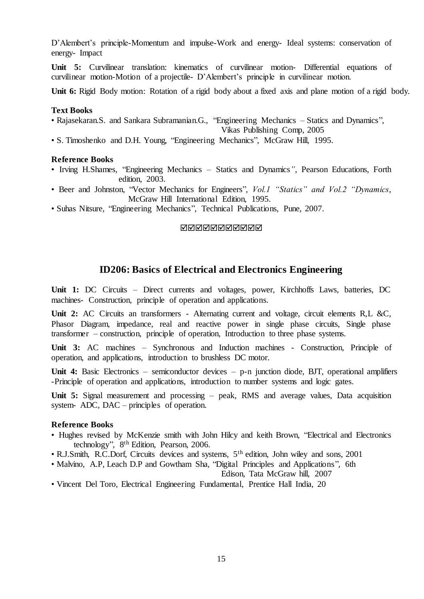D'Alembert's principle-Momentum and impulse-Work and energy- Ideal systems: conservation of energy- Impact

**Unit 5:** Curvilinear translation: kinematics of curvilinear motion- Differential equations of curvilinear motion-Motion of a projectile- D'Alembert's principle in curvilinear motion.

**Unit 6:** Rigid Body motion: Rotation of a rigid body about a fixed axis and plane motion of a rigid body.

#### **Text Books**

• Rajasekaran.S. and Sankara Subramanian.G., "Engineering Mechanics – Statics and Dynamics",

Vikas Publishing Comp, 2005

• S. Timoshenko and D.H. Young, "Engineering Mechanics", McGraw Hill, 1995.

## **Reference Books**

- Irving H.Shames, "Engineering Mechanics Statics and Dynamics*"*, Pearson Educations, Forth edition, 2003.
- Beer and Johnston, "Vector Mechanics for Engineers", *Vol.1 "Statics" and Vol.2 "Dynamics*, McGraw Hill International Edition, 1995.
- Suhas Nitsure, "Engineering Mechanics", Technical Publications, Pune, 2007.

#### MMMMMMMMMM

# **ID206: Basics of Electrical and Electronics Engineering**

**Unit 1:** DC Circuits – Direct currents and voltages, power, Kirchhoffs Laws, batteries, DC machines- Construction, principle of operation and applications.

Unit 2: AC Circuits an transformers - Alternating current and voltage, circuit elements R,L &C, Phasor Diagram, impedance, real and reactive power in single phase circuits, Single phase transformer – construction, principle of operation, Introduction to three phase systems.

**Unit 3:** AC machines – Synchronous and Induction machines - Construction, Principle of operation, and applications, introduction to brushless DC motor.

**Unit 4:** Basic Electronics – semiconductor devices – p-n junction diode, BJT, operational amplifiers -Principle of operation and applications, introduction to number systems and logic gates.

**Unit 5:** Signal measurement and processing – peak, RMS and average values, Data acquisition system- ADC, DAC – principles of operation.

### **Reference Books**

- Hughes revised by McKenzie smith with John Hilcy and keith Brown, "Electrical and Electronics technology", 8th Edition, Pearson, 2006.
- R.J.Smith, R.C.Dorf, Circuits devices and systems, 5th edition, John wiley and sons, 2001
- Malvino, A.P, Leach D.P and Gowtham Sha, "Digital Principles and Applications", 6th

Edison, Tata McGraw hill, 2007

• Vincent Del Toro, Electrical Engineering Fundamental, Prentice Hall India, 20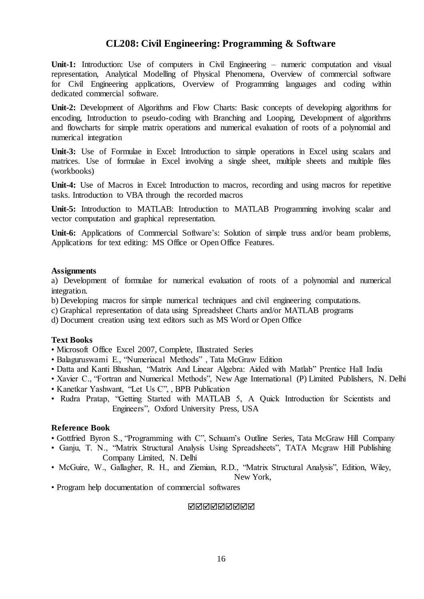# **CL208: Civil Engineering: Programming & Software**

Unit-1: Introduction: Use of computers in Civil Engineering – numeric computation and visual representation, Analytical Modelling of Physical Phenomena, Overview of commercial software for Civil Engineering applications, Overview of Programming languages and coding within dedicated commercial software.

**Unit-2:** Development of Algorithms and Flow Charts: Basic concepts of developing algorithms for encoding, Introduction to pseudo-coding with Branching and Looping, Development of algorithms and flowcharts for simple matrix operations and numerical evaluation of roots of a polynomial and numerical integration

**Unit-3:** Use of Formulae in Excel: Introduction to simple operations in Excel using scalars and matrices. Use of formulae in Excel involving a single sheet, multiple sheets and multiple files (workbooks)

**Unit-4:** Use of Macros in Excel: Introduction to macros, recording and using macros for repetitive tasks. Introduction to VBA through the recorded macros

**Unit-5:** Introduction to MATLAB: Introduction to MATLAB Programming involving scalar and vector computation and graphical representation.

**Unit-6:** Applications of Commercial Software's: Solution of simple truss and/or beam problems, Applications for text editing: MS Office or Open Office Features.

#### **Assignments**

a) Development of formulae for numerical evaluation of roots of a polynomial and numerical integration.

b) Developing macros for simple numerical techniques and civil engineering computations.

c) Graphical representation of data using Spreadsheet Charts and/or MATLAB programs

d) Document creation using text editors such as MS Word or Open Office

# **Text Books**

- Microsoft Office Excel 2007, Complete, Illustrated Series
- Balaguruswami E., "Numeriacal Methods" , Tata McGraw Edition
- Datta and Kanti Bhushan, "Matrix And Linear Algebra: Aided with Matlab" Prentice Hall India
- Xavier C., "Fortran and Numerical Methods", New Age International (P) Limited Publishers, N. Delhi
- Kanetkar Yashwant, "Let Us C", , BPB Publication
- Rudra Pratap, "Getting Started with MATLAB 5, A Quick Introduction for Scientists and Engineers", Oxford University Press, USA

### **Reference Book**

- Gottfried Byron S., "Programming with C", Schuam's Outline Series, Tata McGraw Hill Company
- Ganju, T. N., "Matrix Structural Analysis Using Spreadsheets", TATA Mcgraw Hill Publishing Company Limited, N. Delhi
- McGuire, W., Gallagher, R. H., and Ziemian, R.D., "Matrix Structural Analysis", Edition, Wiley,

New York,

• Program help documentation of commercial softwares

#### **MANANANAN**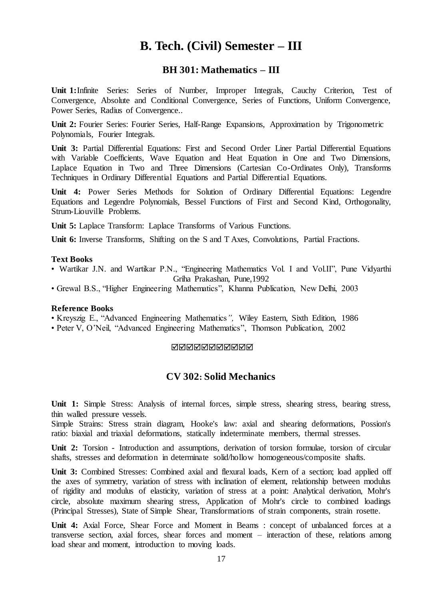# **B. Tech. (Civil) Semester – III**

# **BH 301: Mathematics – III**

**Unit 1:**Infinite Series: Series of Number, Improper Integrals, Cauchy Criterion, Test of Convergence, Absolute and Conditional Convergence, Series of Functions, Uniform Convergence, Power Series, Radius of Convergence..

**Unit 2:** Fourier Series: Fourier Series, Half-Range Expansions, Approximation by Trigonometric Polynomials, Fourier Integrals.

**Unit 3:** Partial Differential Equations: First and Second Order Liner Partial Differential Equations with Variable Coefficients, Wave Equation and Heat Equation in One and Two Dimensions, Laplace Equation in Two and Three Dimensions (Cartesian Co-Ordinates Only), Transforms Techniques in Ordinary Differential Equations and Partial Differential Equations.

**Unit 4:** Power Series Methods for Solution of Ordinary Differential Equations: Legendre Equations and Legendre Polynomials, Bessel Functions of First and Second Kind, Orthogonality, Strum-Liouville Problems.

**Unit 5:** Laplace Transform: Laplace Transforms of Various Functions.

**Unit 6:** Inverse Transforms, Shifting on the S and T Axes, Convolutions, Partial Fractions.

#### **Text Books**

- Wartikar J.N. and Wartikar P.N., "Engineering Mathematics Vol. I and Vol.II", Pune Vidyarthi Griha Prakashan, Pune,1992
- Grewal B.S., "Higher Engineering Mathematics", Khanna Publication, New Delhi, 2003

## **Reference Books**

• Kreyszig E., "Advanced Engineering Mathematics*",* Wiley Eastern, Sixth Edition, 1986

• Peter V, O'Neil, "Advanced Engineering Mathematics", Thomson Publication, 2002

## **NNNNNNNNNN**

# **CV 302: Solid Mechanics**

**Unit 1:** Simple Stress: Analysis of internal forces, simple stress, shearing stress, bearing stress, thin walled pressure vessels.

Simple Strains: Stress strain diagram, Hooke's law: axial and shearing deformations, Possion's ratio: biaxial and triaxial deformations, statically indeterminate members, thermal stresses.

**Unit 2:** Torsion - Introduction and assumptions, derivation of torsion formulae, torsion of circular shafts, stresses and deformation in determinate solid/hollow homogeneous/composite shafts.

**Unit 3:** Combined Stresses: Combined axial and flexural loads, Kern of a section; load applied off the axes of symmetry, variation of stress with inclination of element, relationship between modulus of rigidity and modulus of elasticity, variation of stress at a point: Analytical derivation, Mohr's circle, absolute maximum shearing stress, Application of Mohr's circle to combined loadings (Principal Stresses), State of Simple Shear, Transformations of strain components, strain rosette.

**Unit 4:** Axial Force, Shear Force and Moment in Beams : concept of unbalanced forces at a transverse section, axial forces, shear forces and moment – interaction of these, relations among load shear and moment, introduction to moving loads.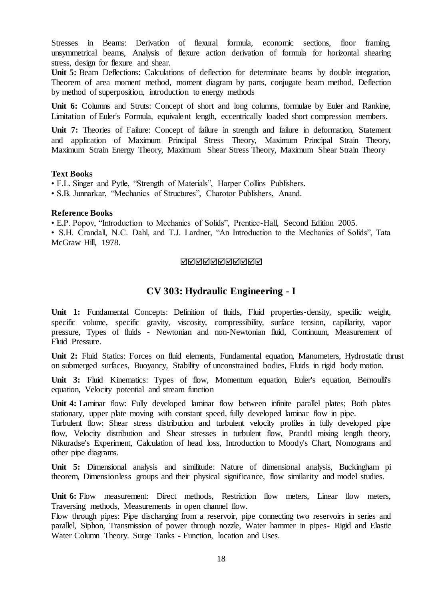Stresses in Beams: Derivation of flexural formula, economic sections, floor framing, unsymmetrical beams, Analysis of flexure action derivation of formula for horizontal shearing stress, design for flexure and shear.

**Unit 5:** Beam Deflections: Calculations of deflection for determinate beams by double integration, Theorem of area moment method, moment diagram by parts, conjugate beam method, Deflection by method of superposition, introduction to energy methods

Unit 6: Columns and Struts: Concept of short and long columns, formulae by Euler and Rankine, Limitation of Euler's Formula, equivalent length, eccentrically loaded short compression members.

Unit 7: Theories of Failure: Concept of failure in strength and failure in deformation, Statement and application of Maximum Principal Stress Theory, Maximum Principal Strain Theory, Maximum Strain Energy Theory, Maximum Shear Stress Theory, Maximum Shear Strain Theory

#### **Text Books**

• F.L. Singer and Pytle, "Strength of Materials", Harper Collins Publishers.

• S.B. Junnarkar, "Mechanics of Structures", Charotor Publishers, Anand.

### **Reference Books**

• E.P. Popov, "Introduction to Mechanics of Solids", Prentice-Hall, Second Edition 2005. • S.H. Crandall, N.C. Dahl, and T.J. Lardner, "An Introduction to the Mechanics of Solids", Tata McGraw Hill, 1978.

### MMMMMMMMMM

# **CV 303: Hydraulic Engineering - I**

**Unit 1:** Fundamental Concepts: Definition of fluids, Fluid properties-density, specific weight, specific volume, specific gravity, viscosity, compressibility, surface tension, capillarity, vapor pressure, Types of fluids - Newtonian and non-Newtonian fluid, Continuum, Measurement of Fluid Pressure.

**Unit 2:** Fluid Statics: Forces on fluid elements, Fundamental equation, Manometers, Hydrostatic thrust on submerged surfaces, Buoyancy, Stability of unconstrained bodies, Fluids in rigid body motion.

**Unit 3:** Fluid Kinematics: Types of flow, Momentum equation, Euler's equation, Bernoulli's equation, Velocity potential and stream function

**Unit 4:** Laminar flow: Fully developed laminar flow between infinite parallel plates; Both plates stationary, upper plate moving with constant speed, fully developed laminar flow in pipe.

Turbulent flow: Shear stress distribution and turbulent velocity profiles in fully developed pipe flow, Velocity distribution and Shear stresses in turbulent flow, Prandtl mixing length theory, Nikuradse's Experiment, Calculation of head loss, Introduction to Moody's Chart, Nomograms and other pipe diagrams.

**Unit 5:** Dimensional analysis and similitude: Nature of dimensional analysis, Buckingham pi theorem, Dimensionless groups and their physical significance, flow similarity and model studies.

Unit 6: Flow measurement: Direct methods, Restriction flow meters, Linear flow meters, Traversing methods, Measurements in open channel flow.

Flow through pipes: Pipe discharging from a reservoir, pipe connecting two reservoirs in series and parallel, Siphon, Transmission of power through nozzle, Water hammer in pipes- Rigid and Elastic Water Column Theory. Surge Tanks - Function, location and Uses.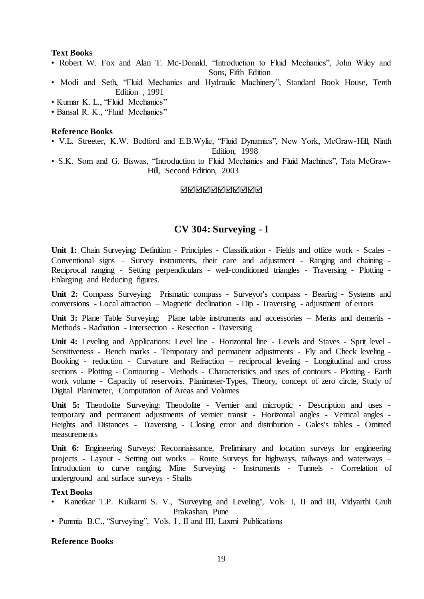### **Text Books**

- Robert W. Fox and Alan T. Mc-Donald, "Introduction to Fluid Mechanics", John Wiley and Sons, Fifth Edition
- Modi and Seth, "Fluid Mechanics and Hydraulic Machinery"*,* Standard Book House, Tenth Edition , 1991
- Kumar K. L., "Fluid Mechanics"
- Bansal R. K., "Fluid Mechanics"

#### **Reference Books**

• V.L. Streeter, K.W. Bedford and E.B.Wylie, "Fluid Dynamics", New York, McGraw-Hill, Ninth

Edition, 1998

• S.K. Som and G. Biswas, "Introduction to Fluid Mechanics and Fluid Machines", Tata McGraw-Hill, Second Edition, 2003

MMMMMMMMMM

# **CV 304: Surveying - I**

**Unit 1:** Chain Surveying: Definition - Principles - Classification - Fields and office work - Scales - Conventional signs – Survey instruments, their care and adjustment - Ranging and chaining - Reciprocal ranging - Setting perpendiculars - well-conditioned triangles - Traversing - Plotting - Enlarging and Reducing figures.

**Unit 2:** Compass Surveying:Prismatic compass - Surveyor's compass - Bearing - Systems and conversions - Local attraction – Magnetic declination - Dip - Traversing - adjustment of errors

**Unit 3:** Plane Table Surveying:Plane table instruments and accessories – Merits and demerits - Methods - Radiation - Intersection - Resection - Traversing

Unit 4: Leveling and Applications: Level line - Horizontal line - Levels and Staves - Sprit level -Sensitiveness - Bench marks - Temporary and permanent adjustments - Fly and Check leveling - Booking - reduction - Curvature and Refraction – reciprocal leveling - Longitudinal and cross sections - Plotting - Contouring - Methods - Characteristics and uses of contours - Plotting - Earth work volume - Capacity of reservoirs. Planimeter-Types, Theory, concept of zero circle, Study of Digital Planimeter, Computation of Areas and Volumes

Unit 5: Theodolite Surveying: Theodolite - Vernier and microptic - Description and uses temporary and permanent adjustments of vernier transit - Horizontal angles - Vertical angles - Heights and Distances - Traversing - Closing error and distribution - Gales's tables - Omitted measurements

**Unit 6:** Engineering Surveys: Reconnaissance, Preliminary and location surveys for engineering projects - Layout - Setting out works – Route Surveys for highways, railways and waterways – Introduction to curve ranging, Mine Surveying - Instruments - Tunnels - Correlation of underground and surface surveys - Shafts

## **Text Books**

- Kanetkar T.P. Kulkarni S. V., "Surveying and Leveling", Vols. I, II and III, Vidyarthi Gruh Prakashan, Pune
- Punmia B.C., "Surveying", Vols. I , II and III, Laxmi Publications

#### **Reference Books**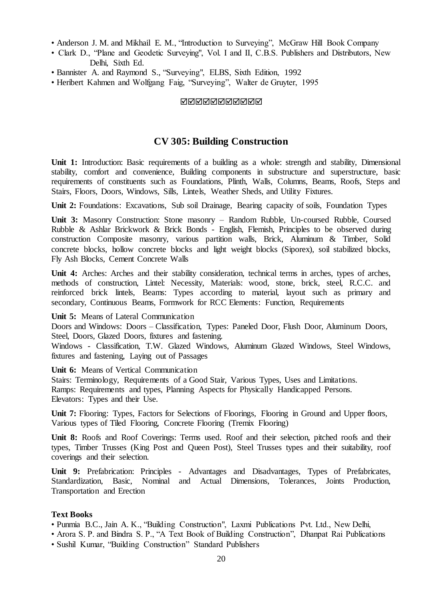- Anderson J. M. and Mikhail E. M., "Introduction to Surveying", McGraw Hill Book Company
- Clark D., "Plane and Geodetic Surveying", Vol. I and II, C.B.S. Publishers and Distributors, New Delhi, Sixth Ed.
- Bannister A. and Raymond S., "Surveying", ELBS, Sixth Edition, 1992
- Heribert Kahmen and Wolfgang Faig, "Surveying", Walter de Gruyter, 1995

#### **NNNNNNNNNN**

# **CV 305: Building Construction**

**Unit 1:** Introduction: Basic requirements of a building as a whole: strength and stability, Dimensional stability, comfort and convenience, Building components in substructure and superstructure, basic requirements of constituents such as Foundations, Plinth, Walls, Columns, Beams, Roofs, Steps and Stairs, Floors, Doors, Windows, Sills, Lintels, Weather Sheds, and Utility Fixtures.

Unit 2: Foundations: Excavations, Sub soil Drainage, Bearing capacity of soils, Foundation Types

Unit 3: Masonry Construction: Stone masonry - Random Rubble, Un-coursed Rubble, Coursed Rubble & Ashlar Brickwork & Brick Bonds - English, Flemish, Principles to be observed during construction Composite masonry, various partition walls, Brick, Aluminum & Timber, Solid concrete blocks, hollow concrete blocks and light weight blocks (Siporex), soil stabilized blocks, Fly Ash Blocks, Cement Concrete Walls

**Unit 4:** Arches: Arches and their stability consideration, technical terms in arches, types of arches, methods of construction, Lintel: Necessity, Materials: wood, stone, brick, steel, R.C.C. and reinforced brick lintels, Beams: Types according to material, layout such as primary and secondary, Continuous Beams, Formwork for RCC Elements: Function, Requirements

**Unit 5:** Means of Lateral Communication

Doors and Windows: Doors – Classification, Types: Paneled Door, Flush Door, Aluminum Doors, Steel, Doors, Glazed Doors, fixtures and fastening.

Windows - Classification, T.W. Glazed Windows, Aluminum Glazed Windows, Steel Windows, fixtures and fastening, Laying out of Passages

**Unit 6:** Means of Vertical Communication

Stairs: Terminology, Requirements of a Good Stair, Various Types, Uses and Limitations. Ramps: Requirements and types, Planning Aspects for Physically Handicapped Persons. Elevators: Types and their Use.

Unit 7: Flooring: Types, Factors for Selections of Floorings, Flooring in Ground and Upper floors, Various types of Tiled Flooring, Concrete Flooring (Tremix Flooring)

**Unit 8:** Roofs and Roof Coverings: Terms used. Roof and their selection, pitched roofs and their types, Timber Trusses (King Post and Queen Post), Steel Trusses types and their suitability, roof coverings and their selection.

**Unit 9:** Prefabrication: Principles - Advantages and Disadvantages, Types of Prefabricates, Standardization, Basic, Nominal and Actual Dimensions, Tolerances, Joints Production, Transportation and Erection

# **Text Books**

- Punmia B.C., Jain A. K., "Building Construction", Laxmi Publications Pvt. Ltd., New Delhi,
- Arora S. P. and Bindra S. P., "A Text Book of Building Construction", Dhanpat Rai Publications
- Sushil Kumar, "Building Construction" Standard Publishers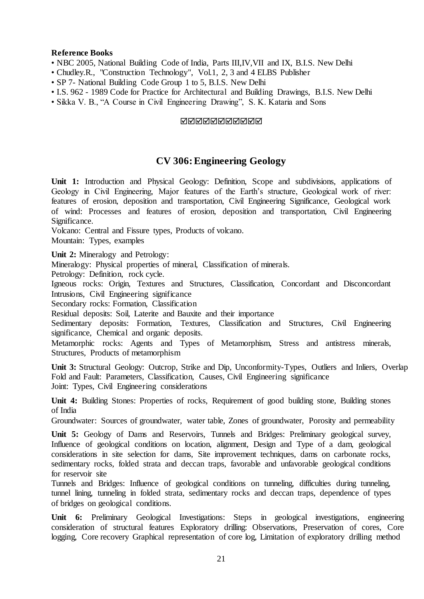# **Reference Books**

- NBC 2005, National Building Code of India, Parts III, IV, VII and IX, B.I.S. New Delhi
- Chudley.R., "Construction Technology", Vol.1, 2, 3 and 4 ELBS Publisher
- SP 7- National Building Code Group 1 to 5, B.I.S. New Delhi
- I.S. 962 1989 Code for Practice for Architectural and Building Drawings, B.I.S. New Delhi
- Sikka V. B., "A Course in Civil Engineering Drawing", S. K. Kataria and Sons

## **NNNNNNNNNN**

# **CV 306:Engineering Geology**

**Unit 1:** Introduction and Physical Geology: Definition, Scope and subdivisions, applications of Geology in Civil Engineering, Major features of the Earth's structure, Geological work of river: features of erosion, deposition and transportation, Civil Engineering Significance, Geological work of wind: Processes and features of erosion, deposition and transportation, Civil Engineering Significance.

Volcano: Central and Fissure types, Products of volcano.

Mountain: Types, examples

Unit 2: Mineralogy and Petrology:

Mineralogy: Physical properties of mineral, Classification of minerals.

Petrology: Definition, rock cycle.

Igneous rocks: Origin, Textures and Structures, Classification, Concordant and Disconcordant Intrusions, Civil Engineering significance

Secondary rocks: Formation, Classification

Residual deposits: Soil, Laterite and Bauxite and their importance

Sedimentary deposits: Formation, Textures, Classification and Structures, Civil Engineering significance, Chemical and organic deposits.

Metamorphic rocks: Agents and Types of Metamorphism, Stress and antistress minerals, Structures, Products of metamorphism

**Unit 3:** Structural Geology: Outcrop, Strike and Dip, Unconformity-Types, Outliers and Inliers, Overlap Fold and Fault: Parameters, Classification, Causes, Civil Engineering significance Joint: Types, Civil Engineering considerations

**Unit 4:** Building Stones: Properties of rocks, Requirement of good building stone, Building stones of India

Groundwater: Sources of groundwater, water table, Zones of groundwater, Porosity and permeability

Unit 5: Geology of Dams and Reservoirs, Tunnels and Bridges: Preliminary geological survey, Influence of geological conditions on location, alignment, Design and Type of a dam, geological considerations in site selection for dams, Site improvement techniques, dams on carbonate rocks, sedimentary rocks, folded strata and deccan traps, favorable and unfavorable geological conditions for reservoir site

Tunnels and Bridges: Influence of geological conditions on tunneling, difficulties during tunneling, tunnel lining, tunneling in folded strata, sedimentary rocks and deccan traps, dependence of types of bridges on geological conditions.

**Unit 6:** Preliminary Geological Investigations: Steps in geological investigations, engineering consideration of structural features Exploratory drilling: Observations, Preservation of cores, Core logging, Core recovery Graphical representation of core log, Limitation of exploratory drilling method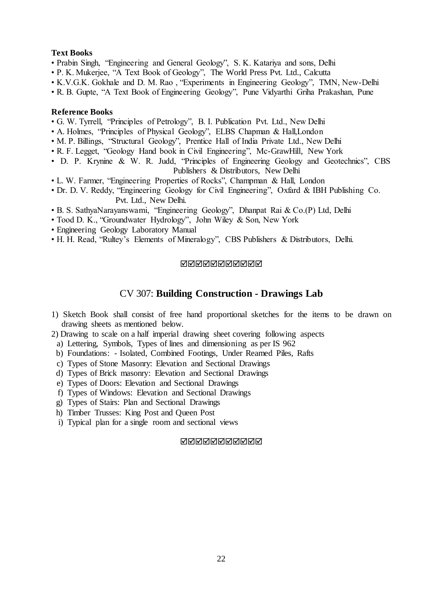# **Text Books**

- Prabin Singh, "Engineering and General Geology", S. K. Katariya and sons, Delhi
- P. K. Mukerjee, "A Text Book of Geology", The World Press Pvt. Ltd., Calcutta
- K.V.G.K. Gokhale and D. M. Rao , "Experiments in Engineering Geology", TMN, New-Delhi
- R. B. Gupte, "A Text Book of Engineering Geology", Pune Vidyarthi Griha Prakashan, Pune

## **Reference Books**

- G. W. Tyrrell, "Principles of Petrology", B. I. Publication Pvt. Ltd., New Delhi
- A. Holmes, "Principles of Physical Geology", ELBS Chapman & Hall,London
- M. P. Billings, "Structural Geology", Prentice Hall of India Private Ltd., New Delhi
- R. F. Legget, "Geology Hand book in Civil Engineering", Mc-GrawHill, New York
- D. P. Krynine & W. R. Judd, "Principles of Engineering Geology and Geotechnics", CBS Publishers & Distributors, New Delhi
- L. W. Farmer, "Engineering Properties of Rocks", Champman & Hall, London
- Dr. D. V. Reddy, "Engineering Geology for Civil Engineering", Oxfard & IBH Publishing Co. Pvt. Ltd., New Delhi.
- B. S. SathyaNarayanswami, "Engineering Geology", Dhanpat Rai & Co.(P) Ltd, Delhi
- Tood D. K., "Groundwater Hydrology", John Wiley & Son, New York
- Engineering Geology Laboratory Manual
- H. H. Read, "Rultey's Elements of Mineralogy", CBS Publishers & Distributors, Delhi.

### MMMMMMMMMM

# CV 307: **Building Construction - Drawings Lab**

- 1) Sketch Book shall consist of free hand proportional sketches for the items to be drawn on drawing sheets as mentioned below.
- 2) Drawing to scale on a half imperial drawing sheet covering following aspects
- a) Lettering, Symbols, Types of lines and dimensioning as per IS 962
- b) Foundations: Isolated, Combined Footings, Under Reamed Piles, Rafts
- c) Types of Stone Masonry: Elevation and Sectional Drawings
- d) Types of Brick masonry: Elevation and Sectional Drawings
- e) Types of Doors: Elevation and Sectional Drawings
- f) Types of Windows: Elevation and Sectional Drawings
- g) Types of Stairs: Plan and Sectional Drawings
- h) Timber Trusses: King Post and Queen Post
- i) Typical plan for a single room and sectional views

### **NNNNNNNNNN**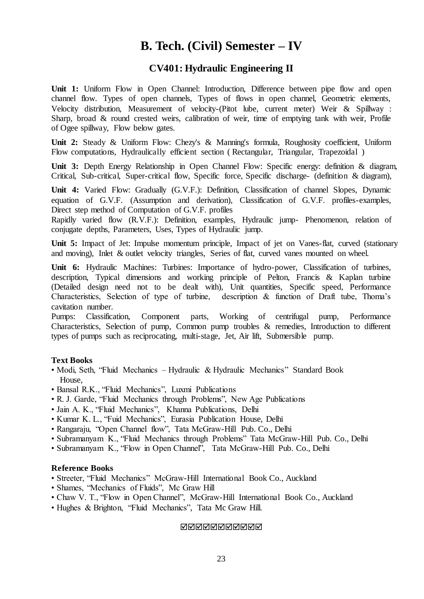# **B. Tech. (Civil) Semester – IV**

# **CV401: Hydraulic Engineering II**

Unit 1: Uniform Flow in Open Channel: Introduction, Difference between pipe flow and open channel flow. Types of open channels, Types of flows in open channel, Geometric elements, Velocity distribution, Measurement of velocity-(Pitot lube, current meter) Weir & Spillway : Sharp, broad & round crested weirs, calibration of weir, time of emptying tank with weir, Profile of Ogee spillway, Flow below gates.

**Unit 2:** Steady & Uniform Flow: Chezy's & Manning's formula, Roughosity coefficient, Uniform Flow computations, Hydraulically efficient section ( Rectangular, Triangular, Trapezoidal )

Unit 3: Depth Energy Relationship in Open Channel Flow: Specific energy: definition & diagram, Critical, Sub-critical, Super-critical flow, Specific force, Specific discharge- (definition & diagram),

**Unit 4:** Varied Flow: Gradually (G.V.F.): Definition, Classification of channel Slopes, Dynamic equation of G.V.F. (Assumption and derivation), Classification of G.V.F. profiles-examples, Direct step method of Computation of G.V.F. profiles

Rapidly varied flow (R.V.F.): Definition, examples, Hydraulic jump- Phenomenon, relation of conjugate depths, Parameters, Uses, Types of Hydraulic jump.

Unit 5: Impact of Jet: Impulse momentum principle, Impact of jet on Vanes-flat, curved (stationary and moving), Inlet & outlet velocity triangles, Series of flat, curved vanes mounted on wheel.

**Unit 6:** Hydraulic Machines: Turbines: Importance of hydro-power, Classification of turbines, description, Typical dimensions and working principle of Pelton, Francis & Kaplan turbine (Detailed design need not to be dealt with), Unit quantities, Specific speed, Performance Characteristics, Selection of type of turbine, description & function of Draft tube, Thoma's cavitation number.

Pumps: Classification, Component parts, Working of centrifugal pump, Performance Characteristics, Selection of pump, Common pump troubles & remedies, Introduction to different types of pumps such as reciprocating, multi-stage, Jet, Air lift, Submersible pump.

# **Text Books**

- Modi, Seth, "Fluid Mechanics Hydraulic & Hydraulic Mechanics" Standard Book House,
- Bansal R.K., "Fluid Mechanics", Luxmi Publications
- R. J. Garde, "Fluid Mechanics through Problems", New Age Publications
- Jain A. K., "Fluid Mechanics", Khanna Publications, Delhi
- Kumar K. L., "Fuid Mechanics", Eurasia Publication House, Delhi
- Rangaraju, "Open Channel flow", Tata McGraw-Hill Pub. Co., Delhi
- Subramanyam K., "Fluid Mechanics through Problems" Tata McGraw-Hill Pub. Co., Delhi
- Subramanyam K., "Flow in Open Channel", Tata McGraw-Hill Pub. Co., Delhi

# **Reference Books**

- Streeter, "Fluid Mechanics" McGraw-Hill International Book Co., Auckland
- Shames, "Mechanics of Fluids", Mc Graw Hill
- Chaw V. T., "Flow in Open Channel", McGraw-Hill International Book Co., Auckland
- Hughes & Brighton, "Fluid Mechanics", Tata Mc Graw Hill.

### **MANANANANAN**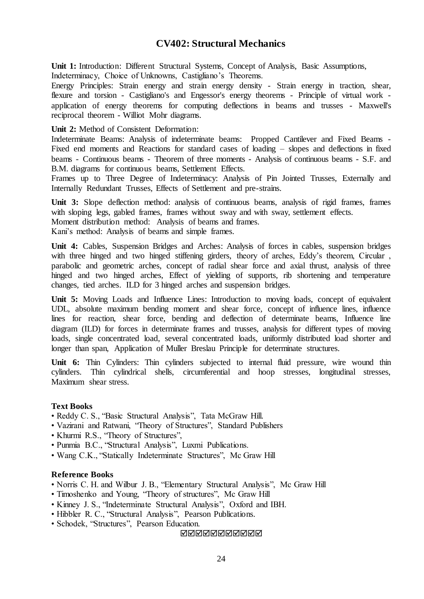# **CV402: Structural Mechanics**

**Unit 1:** Introduction: Different Structural Systems, Concept of Analysis, Basic Assumptions, Indeterminacy, Choice of Unknowns, Castigliano's Theorems.

Energy Principles: Strain energy and strain energy density - Strain energy in traction, shear, flexure and torsion - Castigliano's and Engessor's energy theorems - Principle of virtual work application of energy theorems for computing deflections in beams and trusses - Maxwell's reciprocal theorem - Williot Mohr diagrams.

**Unit 2:** Method of Consistent Deformation:

Indeterminate Beams: Analysis of indeterminate beams: Propped Cantilever and Fixed Beams - Fixed end moments and Reactions for standard cases of loading – slopes and deflections in fixed beams - Continuous beams - Theorem of three moments - Analysis of continuous beams - S.F. and B.M. diagrams for continuous beams, Settlement Effects.

Frames up to Three Degree of Indeterminacy: Analysis of Pin Jointed Trusses, Externally and Internally Redundant Trusses, Effects of Settlement and pre-strains.

**Unit 3:** Slope deflection method: analysis of continuous beams, analysis of rigid frames, frames with sloping legs, gabled frames, frames without sway and with sway, settlement effects. Moment distribution method: Analysis of beams and frames. Kani's method: Analysis of beams and simple frames.

**Unit 4:** Cables, Suspension Bridges and Arches: Analysis of forces in cables, suspension bridges with three hinged and two hinged stiffening girders, theory of arches, Eddy's theorem, Circular, parabolic and geometric arches, concept of radial shear force and axial thrust, analysis of three hinged and two hinged arches, Effect of yielding of supports, rib shortening and temperature changes, tied arches. ILD for 3 hinged arches and suspension bridges.

**Unit 5:** Moving Loads and Influence Lines: Introduction to moving loads, concept of equivalent UDL, absolute maximum bending moment and shear force, concept of influence lines, influence lines for reaction, shear force, bending and deflection of determinate beams, Influence line diagram (ILD) for forces in determinate frames and trusses, analysis for different types of moving loads, single concentrated load, several concentrated loads, uniformly distributed load shorter and longer than span, Application of Muller Breslau Principle for determinate structures.

Unit 6: Thin Cylinders: Thin cylinders subjected to internal fluid pressure, wire wound thin cylinders. Thin cylindrical shells, circumferential and hoop stresses, longitudinal stresses, Maximum shear stress.

### **Text Books**

- Reddy C. S., "Basic Structural Analysis", Tata McGraw Hill.
- Vazirani and Ratwani, "Theory of Structures", Standard Publishers
- Khurmi R.S., "Theory of Structures",
- Punmia B.C., "Structural Analysis", Luxmi Publications.
- Wang C.K., "Statically Indeterminate Structures", Mc Graw Hill

#### **Reference Books**

- Norris C. H. and Wilbur J. B., "Elementary Structural Analysis", Mc Graw Hill
- Timoshenko and Young, "Theory of structures", Mc Graw Hill
- Kinney J. S., "Indeterminate Structural Analysis", Oxford and IBH.
- Hibbler R. C., "Structural Analysis", Pearson Publications.
- Schodek, "Structures", Pearson Education.

**NANANANANAN**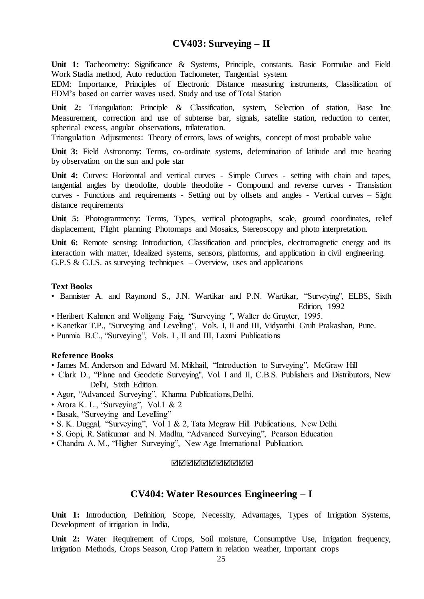# **CV403: Surveying – II**

Unit 1: Tacheometry: Significance & Systems, Principle, constants. Basic Formulae and Field Work Stadia method, Auto reduction Tachometer, Tangential system.

EDM: Importance, Principles of Electronic Distance measuring instruments, Classification of EDM's based on carrier waves used. Study and use of Total Station

Unit 2: Triangulation: Principle & Classification, system, Selection of station, Base line Measurement, correction and use of subtense bar, signals, satellite station, reduction to center, spherical excess, angular observations, trilateration.

Triangulation Adjustments: Theory of errors, laws of weights, concept of most probable value

**Unit 3:** Field Astronomy: Terms, co-ordinate systems, determination of latitude and true bearing by observation on the sun and pole star

Unit 4: Curves: Horizontal and vertical curves - Simple Curves - setting with chain and tapes, tangential angles by theodolite, double theodolite - Compound and reverse curves - Transistion curves - Functions and requirements - Setting out by offsets and angles - Vertical curves – Sight distance requirements

Unit 5: Photogrammetry: Terms, Types, vertical photographs, scale, ground coordinates, relief displacement, Flight planning Photomaps and Mosaics, Stereoscopy and photo interpretation.

Unit 6: Remote sensing: Introduction, Classification and principles, electromagnetic energy and its interaction with matter, Idealized systems, sensors, platforms, and application in civil engineering. G.P.S & G.I.S. as surveying techniques  $-$  Overview, uses and applications

#### **Text Books**

• Bannister A. and Raymond S., J.N. Wartikar and P.N. Wartikar, "Surveying", ELBS, Sixth

Edition, 1992

- Heribert Kahmen and Wolfgang Faig, "Surveying ", Walter de Gruyter, 1995.
- Kanetkar T.P., "Surveying and Leveling", Vols. I, II and III, Vidyarthi Gruh Prakashan, Pune.
- Punmia B.C., "Surveying", Vols. I , II and III, Laxmi Publications

### **Reference Books**

- James M. Anderson and Edward M. Mikhail, "Introduction to Surveying", McGraw Hill
- Clark D., "Plane and Geodetic Surveying", Vol. I and II, C.B.S. Publishers and Distributors, New Delhi, Sixth Edition.
- Agor, "Advanced Surveying", Khanna Publications,Delhi.
- Arora K. L., "Surveying", Vol.1 & 2
- Basak, "Surveying and Levelling"
- S. K. Duggal, "Surveying", Vol 1 & 2, Tata Mcgraw Hill Publications, New Delhi.
- S. Gopi, R. Satikumar and N. Madhu, "Advanced Surveying", Pearson Education
- Chandra A. M., "Higher Surveying", New Age International Publication.

#### **NNNNNNNNNN**

# **CV404: Water Resources Engineering – I**

**Unit 1:** Introduction, Definition, Scope, Necessity, Advantages, Types of Irrigation Systems, Development of irrigation in India,

Unit 2: Water Requirement of Crops, Soil moisture, Consumptive Use, Irrigation frequency, Irrigation Methods, Crops Season, Crop Pattern in relation weather, Important crops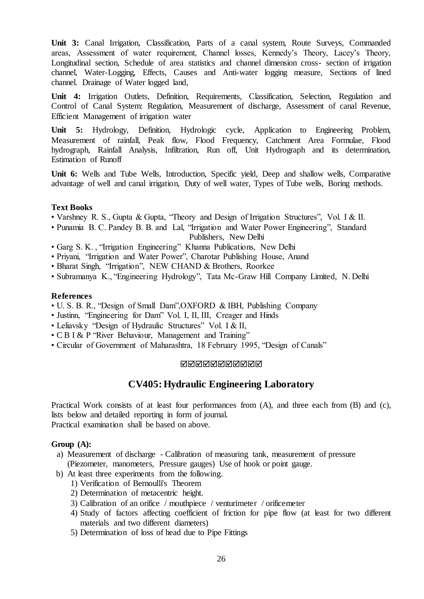**Unit 3:** Canal Irrigation, Classification, Parts of a canal system, Route Surveys, Commanded areas, Assessment of water requirement, Channel losses, Kennedy's Theory, Lacey's Theory, Longitudinal section, Schedule of area statistics and channel dimension cross- section of irrigation channel, Water-Logging, Effects, Causes and Anti-water logging measure, Sections of lined channel. Drainage of Water logged land,

**Unit 4:** Irrigation Outlets, Definition, Requirements, Classification, Selection, Regulation and Control of Canal System: Regulation, Measurement of discharge, Assessment of canal Revenue, Efficient Management of irrigation water

**Unit 5:** Hydrology, Definition, Hydrologic cycle, Application to Engineering Problem, Measurement of rainfall, Peak flow, Flood Frequency, Catchment Area Formulae, Flood hydrograph, Rainfall Analysis, Infiltration, Run off, Unit Hydrograph and its determination, Estimation of Runoff

**Unit 6:** Wells and Tube Wells, Introduction, Specific yield, Deep and shallow wells, Comparative advantage of well and canal irrigation, Duty of well water, Types of Tube wells, Boring methods.

# **Text Books**

- Varshney R. S., Gupta & Gupta, "Theory and Design of Irrigation Structures", Vol. I & II.
- Punamia B. C. Pandey B. B. and Lal, "Irrigation and Water Power Engineering", Standard Publishers, New Delhi
- Garg S. K. , "Irrigation Engineering" Khanna Publications, New Delhi
- Priyani, "Irrigation and Water Power", Charotar Publishing House, Anand
- Bharat Singh, "Irrigation", NEW CHAND & Brothers, Roorkee
- Subramanya K., "Engineering Hydrology", Tata Mc-Graw Hill Company Limited, N. Delhi

## **References**

- U. S. B. R., "Design of Small Dam",OXFORD & IBH, Publishing Company
- Justinn, "Engineering for Dam" Vol. I, II, III, Creager and Hinds
- Leliavsky "Design of Hydraulic Structures" Vol. I & II,
- C B I & P "River Behaviour, Management and Training"
- Circular of Government of Maharashtra, 18 February 1995, "Design of Canals"

#### **NNNNNNNNNN**

# **CV405:Hydraulic Engineering Laboratory**

Practical Work consists of at least four performances from (A), and three each from (B) and (c), lists below and detailed reporting in form of journal. Practical examination shall be based on above.

#### **Group (A):**

- a) Measurement of discharge Calibration of measuring tank, measurement of pressure (Piezometer, manometers, Pressure gauges) Use of hook or point gauge.
- b) At least three experiments from the following.
	- 1) Verification of Bernoulli's Theorem
	- 2) Determination of metacentric height.
	- 3) Calibration of an orifice / mouthpiece / venturimeter / orificemeter
	- 4) Study of factors affecting coefficient of friction for pipe flow (at least for two different materials and two different diameters)
	- 5) Determination of loss of head due to Pipe Fittings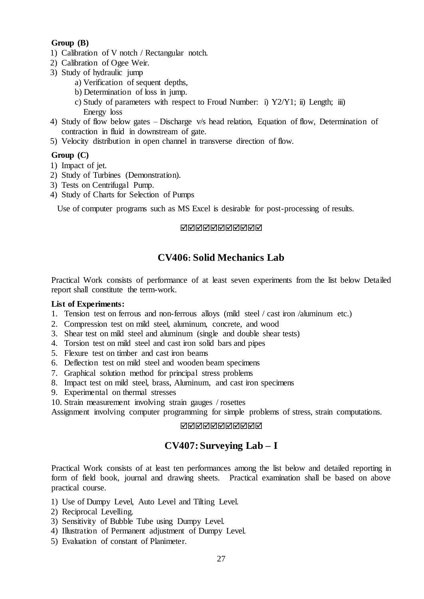# **Group (B)**

- 1) Calibration of V notch / Rectangular notch.
- 2) Calibration of Ogee Weir.
- 3) Study of hydraulic jump
	- a) Verification of sequent depths,
	- b) Determination of loss in jump.
	- c) Study of parameters with respect to Froud Number: i) Y2/Y1; ii) Length; iii) Energy loss
- 4) Study of flow below gates Discharge v/s head relation, Equation of flow, Determination of contraction in fluid in downstream of gate.
- 5) Velocity distribution in open channel in transverse direction of flow.

# **Group (C)**

- 1) Impact of jet.
- 2) Study of Turbines (Demonstration).
- 3) Tests on Centrifugal Pump.
- 4) Study of Charts for Selection of Pumps

Use of computer programs such as MS Excel is desirable for post-processing of results.

# MMMMMMMMMM

# **CV406: Solid Mechanics Lab**

Practical Work consists of performance of at least seven experiments from the list below Detailed report shall constitute the term-work.

## **List of Experiments:**

- 1. Tension test on ferrous and non-ferrous alloys (mild steel / cast iron /aluminum etc.)
- 2. Compression test on mild steel, aluminum, concrete, and wood
- 3. Shear test on mild steel and aluminum (single and double shear tests)
- 4. Torsion test on mild steel and cast iron solid bars and pipes
- 5. Flexure test on timber and cast iron beams
- 6. Deflection test on mild steel and wooden beam specimens
- 7. Graphical solution method for principal stress problems
- 8. Impact test on mild steel, brass, Aluminum, and cast iron specimens
- 9. Experimental on thermal stresses
- 10. Strain measurement involving strain gauges / rosettes

Assignment involving computer programming for simple problems of stress, strain computations.

# **NNNNNNNNNN**

# **CV407: Surveying Lab – I**

Practical Work consists of at least ten performances among the list below and detailed reporting in form of field book, journal and drawing sheets. Practical examination shall be based on above practical course.

- 1) Use of Dumpy Level, Auto Level and Tilting Level.
- 2) Reciprocal Levelling.
- 3) Sensitivity of Bubble Tube using Dumpy Level.
- 4) Illustration of Permanent adjustment of Dumpy Level.
- 5) Evaluation of constant of Planimeter.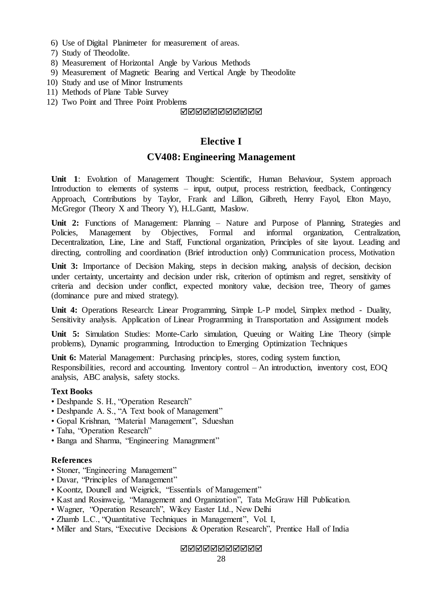- 6) Use of Digital Planimeter for measurement of areas.
- 7) Study of Theodolite.
- 8) Measurement of Horizontal Angle by Various Methods
- 9) Measurement of Magnetic Bearing and Vertical Angle by Theodolite
- 10) Study and use of Minor Instruments
- 11) Methods of Plane Table Survey
- 12) Two Point and Three Point Problems

### <u>NNNNNNNNNN</u>

# **Elective I**

# **CV408: Engineering Management**

**Unit 1**: Evolution of Management Thought: Scientific, Human Behaviour, System approach Introduction to elements of systems – input, output, process restriction, feedback, Contingency Approach, Contributions by Taylor, Frank and Lillion, Gilbreth, Henry Fayol, Elton Mayo, McGregor (Theory X and Theory Y), H.L.Gantt, Maslow.

**Unit 2:** Functions of Management: Planning – Nature and Purpose of Planning, Strategies and Policies. Management by Objectives. Formal and informal organization. Centralization. Policies, Management by Objectives, Formal and informal organization, Centralization, Decentralization, Line, Line and Staff, Functional organization, Principles of site layout. Leading and directing, controlling and coordination (Brief introduction only) Communication process, Motivation

Unit 3: Importance of Decision Making, steps in decision making, analysis of decision, decision under certainty, uncertainty and decision under risk, criterion of optimism and regret, sensitivity of criteria and decision under conflict, expected monitory value, decision tree, Theory of games (dominance pure and mixed strategy).

**Unit 4:** Operations Research: Linear Programming, Simple L-P model, Simplex method - Duality, Sensitivity analysis. Application of Linear Programming in Transportation and Assignment models

**Unit 5:** Simulation Studies: Monte-Carlo simulation, Queuing or Waiting Line Theory (simple problems), Dynamic programming, Introduction to Emerging Optimization Techniques

**Unit 6:** Material Management: Purchasing principles, stores, coding system function, Responsibilities, record and accounting. Inventory control – An introduction, inventory cost, EOQ analysis, ABC analysis, safety stocks.

### **Text Books**

- Deshpande S. H., "Operation Research"
- Deshpande A. S., "A Text book of Management"
- Gopal Krishnan, "Material Management", Sdueshan
- Taha, "Operation Research"
- Banga and Sharma, "Engineering Managnment"

# **References**

- Stoner, "Engineering Management"
- Davar, "Principles of Management"
- Koontz, Dounell and Weigrick, "Essentials of Management"
- Kast and Rosinweig, "Management and Organization", Tata McGraw Hill Publication.
- Wagner, "Operation Research", Wikey Easter Ltd., New Delhi
- Zhamb L.C., "Quantitative Techniques in Management", Vol. I,
- Miller and Stars, "Executive Decisions & Operation Research", Prentice Hall of India

**NNNNNNNNNN**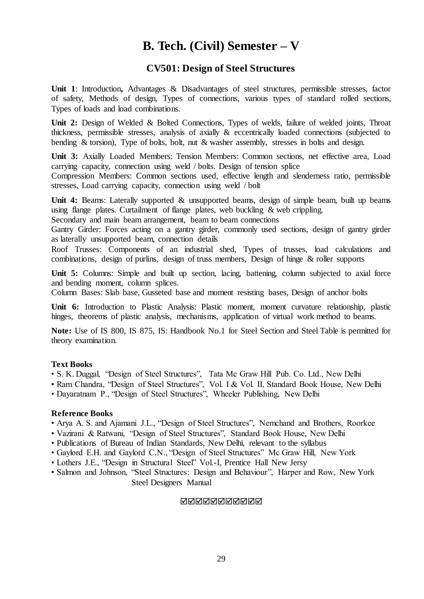# **B. Tech. (Civil) Semester – V**

# **CV501: Design of Steel Structures**

**Unit 1**: Introduction**,** Advantages & Disadvantages of steel structures, permissible stresses, factor of safety, Methods of design, Types of connections, various types of standard rolled sections, Types of loads and load combinations.

Unit 2: Design of Welded & Bolted Connections, Types of welds, failure of welded joints, Throat thickness, permissible stresses, analysis of axially & eccentrically loaded connections (subjected to bending & torsion), Type of bolts, bolt, nut & washer assembly, stresses in bolts and design.

**Unit 3:** Axially Loaded Members: Tension Members: Common sections, net effective area, Load carrying capacity, connection using weld / bolts. Design of tension splice

Compression Members: Common sections used, effective length and slenderness ratio, permissible stresses, Load carrying capacity, connection using weld / bolt

Unit 4: Beams: Laterally supported & unsupported beams, design of simple beam, built up beams using flange plates. Curtailment of flange plates, web buckling  $\&$  web crippling.

Secondary and main beam arrangement, beam to beam connections

Gantry Girder: Forces acting on a gantry girder, commonly used sections, design of gantry girder as laterally unsupported beam, connection details

Roof Trusses: Components of an industrial shed, Types of trusses, load calculations and combinations, design of purlins, design of truss members, Design of hinge & roller supports

Unit 5: Columns: Simple and built up section, lacing, battening, column subjected to axial force and bending moment, column splices.

Column Bases: Slab base, Gusseted base and moment resisting bases, Design of anchor bolts

**Unit 6:** Introduction to Plastic Analysis: Plastic moment, moment curvature relationship, plastic hinges, theorems of plastic analysis, mechanisms, application of virtual work method to beams.

**Note:** Use of IS 800, IS 875, IS: Handbook No.1 for Steel Section and Steel Table is permitted for theory examination.

# **Text Books**

• S. K. Duggal, "Design of Steel Structures", Tata Mc Graw Hill Pub. Co. Ltd., New Delhi

- Ram Chandra, "Design of Steel Structures", Vol. I & Vol. II, Standard Book House, New Delhi
- Dayaratnam P., "Design of Steel Structures", Wheeler Publishing, New Delhi

### **Reference Books**

• Arya A. S. and Ajamani J.L., "Design of Steel Structures", Nemchand and Brothers, Roorkee

- Vazirani & Ratwani, "Design of Steel Structures", Standard Book House, New Delhi
- Publications of Bureau of Indian Standards, New Delhi, relevant to the syllabus
- Gaylord E.H. and Gaylord C.N., "Design of Steel Structures" Mc Graw Hill, New York
- Lothers J.E., "Design in Structural Steel" Vol.-I, Prentice Hall New Jersy
- Salmon and Johnson, "Steel Structures: Design and Behaviour", Harper and Row, New York Steel Designers Manual

### **NANANANANAN**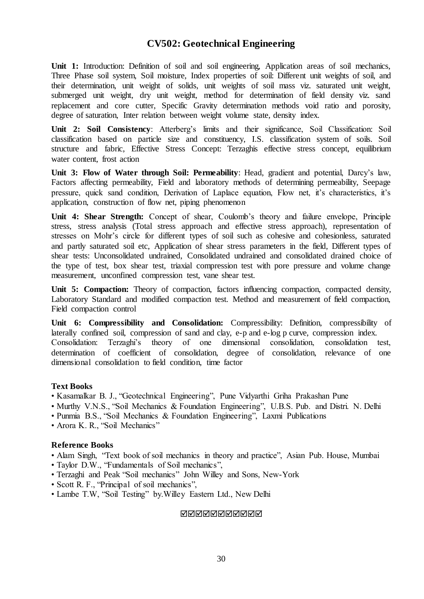# **CV502: Geotechnical Engineering**

**Unit 1:** Introduction: Definition of soil and soil engineering, Application areas of soil mechanics, Three Phase soil system, Soil moisture, Index properties of soil: Different unit weights of soil, and their determination, unit weight of solids, unit weights of soil mass viz. saturated unit weight, submerged unit weight, dry unit weight, method for determination of field density viz. sand replacement and core cutter, Specific Gravity determination methods void ratio and porosity, degree of saturation, Inter relation between weight volume state, density index.

**Unit 2: Soil Consistency**: Atterberg's limits and their significance, Soil Classification: Soil classification based on particle size and constituency, I.S. classification system of soils. Soil structure and fabric, Effective Stress Concept: Terzaghis effective stress concept, equilibrium water content, frost action

**Unit 3: Flow of Water through Soil: Permeability**: Head, gradient and potential, Darcy's law, Factors affecting permeability, Field and laboratory methods of determining permeability, Seepage pressure, quick sand condition, Derivation of Laplace equation, Flow net, it's characteristics, it's application, construction of flow net, piping phenomenon

**Unit 4: Shear Strength:** Concept of shear, Coulomb's theory and failure envelope, Principle stress, stress analysis (Total stress approach and effective stress approach), representation of stresses on Mohr's circle for different types of soil such as cohesive and cohesionless, saturated and partly saturated soil etc, Application of shear stress parameters in the field, Different types of shear tests: Unconsolidated undrained, Consolidated undrained and consolidated drained choice of the type of test, box shear test, triaxial compression test with pore pressure and volume change measurement, unconfined compression test, vane shear test.

**Unit 5: Compaction:** Theory of compaction, factors influencing compaction, compacted density, Laboratory Standard and modified compaction test. Method and measurement of field compaction, Field compaction control

**Unit 6: Compressibility and Consolidation:** Compressibility: Definition, compressibility of laterally confined soil, compression of sand and clay, e-p and e-log p curve, compression index. Consolidation: Terzaghi's theory of one dimensional consolidation, consolidation test, determination of coefficient of consolidation, degree of consolidation, relevance of one dimensional consolidation to field condition, time factor

### **Text Books**

- Kasamalkar B. J., "Geotechnical Engineering", Pune Vidyarthi Griha Prakashan Pune
- Murthy V.N.S., "Soil Mechanics & Foundation Engineering", U.B.S. Pub. and Distri. N. Delhi
- Punmia B.S., "Soil Mechanics & Foundation Engineering", Laxmi Publications
- Arora K. R., "Soil Mechanics"

### **Reference Books**

- Alam Singh, "Text book of soil mechanics in theory and practice", Asian Pub. House, Mumbai
- Taylor D.W., "Fundamentals of Soil mechanics",
- Terzaghi and Peak "Soil mechanics" John Willey and Sons, New-York
- Scott R. F., "Principal of soil mechanics",
- Lambe T.W, "Soil Testing" by.Willey Eastern Ltd., New Delhi

### **MANANANANAN**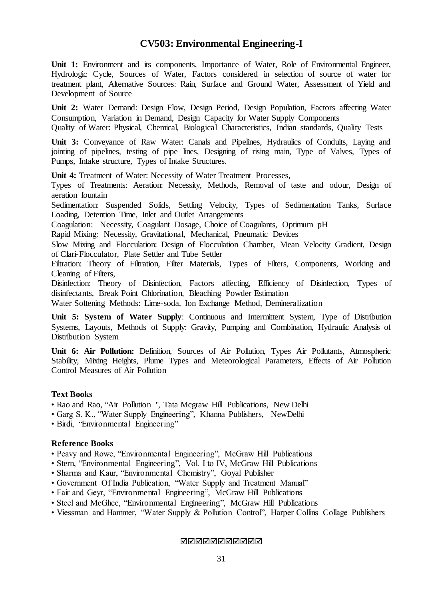# **CV503: Environmental Engineering-I**

Unit 1: Environment and its components, Importance of Water, Role of Environmental Engineer, Hydrologic Cycle, Sources of Water, Factors considered in selection of source of water for treatment plant, Alternative Sources: Rain, Surface and Ground Water, Assessment of Yield and Development of Source

**Unit 2:** Water Demand: Design Flow, Design Period, Design Population, Factors affecting Water Consumption, Variation in Demand, Design Capacity for Water Supply Components Quality of Water: Physical, Chemical, Biological Characteristics, Indian standards, Quality Tests

**Unit 3:** Conveyance of Raw Water: Canals and Pipelines, Hydraulics of Conduits, Laying and jointing of pipelines, testing of pipe lines, Designing of rising main, Type of Valves, Types of Pumps, Intake structure, Types of Intake Structures.

**Unit 4:** Treatment of Water: Necessity of Water Treatment Processes,

Types of Treatments: Aeration: Necessity, Methods, Removal of taste and odour, Design of aeration fountain

Sedimentation: Suspended Solids, Settling Velocity, Types of Sedimentation Tanks, Surface Loading, Detention Time, Inlet and Outlet Arrangements

Coagulation: Necessity, Coagulant Dosage, Choice of Coagulants, Optimum pH

Rapid Mixing: Necessity, Gravitational, Mechanical, Pneumatic Devices

Slow Mixing and Flocculation: Design of Flocculation Chamber, Mean Velocity Gradient, Design of Clari-Flocculator, Plate Settler and Tube Settler

Filtration: Theory of Filtration, Filter Materials, Types of Filters, Components, Working and Cleaning of Filters,

Disinfection: Theory of Disinfection, Factors affecting, Efficiency of Disinfection, Types of disinfectants, Break Point Chlorination, Bleaching Powder Estimation

Water Softening Methods: Lime-soda, Ion Exchange Method, Demineralization

**Unit 5: System of Water Supply**: Continuous and Intermittent System, Type of Distribution Systems, Layouts, Methods of Supply: Gravity, Pumping and Combination, Hydraulic Analysis of Distribution System

**Unit 6: Air Pollution:** Definition, Sources of Air Pollution, Types Air Pollutants, Atmospheric Stability, Mixing Heights, Plume Types and Meteorological Parameters, Effects of Air Pollution Control Measures of Air Pollution

# **Text Books**

- Rao and Rao, "Air Pollution ", Tata Mcgraw Hill Publications, New Delhi
- Garg S. K., "Water Supply Engineering", Khanna Publishers, NewDelhi

• Birdi, "Environmental Engineering"

### **Reference Books**

- Peavy and Rowe, "Environmental Engineering", McGraw Hill Publications
- Stern, "Environmental Engineering", Vol. I to IV, McGraw Hill Publications
- Sharma and Kaur, "Environmental Chemistry", Goyal Publisher
- Government Of India Publication, "Water Supply and Treatment Manual"
- Fair and Geyr, "Environmental Engineering", McGraw Hill Publications
- Steel and McGhee, "Environmental Engineering", McGraw Hill Publications
- Viessman and Hammer, "Water Supply & Pollution Control", Harper Collins Collage Publishers

**NANANANANAN**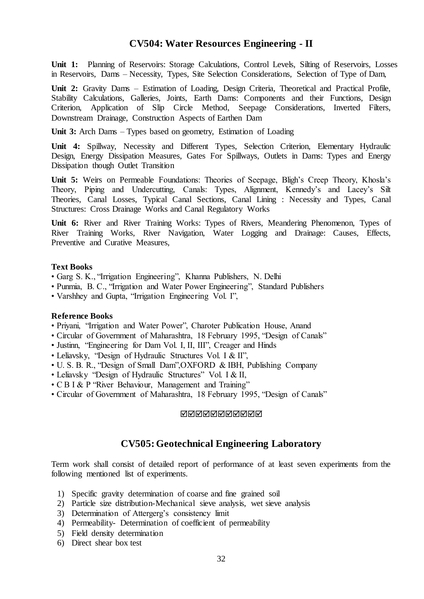# **CV504: Water Resources Engineering - II**

Unit 1: Planning of Reservoirs: Storage Calculations, Control Levels, Silting of Reservoirs, Losses in Reservoirs, Dams – Necessity, Types, Site Selection Considerations, Selection of Type of Dam,

**Unit 2:** Gravity Dams – Estimation of Loading, Design Criteria, Theoretical and Practical Profile, Stability Calculations, Galleries, Joints, Earth Dams: Components and their Functions, Design Criterion, Application of Slip Circle Method, Seepage Considerations, Inverted Filters, Downstream Drainage, Construction Aspects of Earthen Dam

**Unit 3:** Arch Dams – Types based on geometry, Estimation of Loading

**Unit 4:** Spillway, Necessity and Different Types, Selection Criterion, Elementary Hydraulic Design, Energy Dissipation Measures, Gates For Spillways, Outlets in Dams: Types and Energy Dissipation though Outlet Transition

Unit 5: Weirs on Permeable Foundations: Theories of Seepage, Bligh's Creep Theory, Khosla's Theory, Piping and Undercutting, Canals: Types, Alignment, Kennedy's and Lacey's Silt Theories, Canal Losses, Typical Canal Sections, Canal Lining : Necessity and Types, Canal Structures: Cross Drainage Works and Canal Regulatory Works

**Unit 6:** River and River Training Works: Types of Rivers, Meandering Phenomenon, Types of River Training Works, River Navigation, Water Logging and Drainage: Causes, Effects, Preventive and Curative Measures,

### **Text Books**

- Garg S. K., "Irrigation Engineering", Khanna Publishers, N. Delhi
- Punmia, B. C., "Irrigation and Water Power Engineering", Standard Publishers
- Varshhey and Gupta, "Irrigation Engineering Vol. I",

#### **Reference Books**

- Priyani, "Irrigation and Water Power", Charoter Publication House, Anand
- Circular of Government of Maharashtra, 18 February 1995, "Design of Canals"
- Justinn, "Engineering for Dam Vol. I, II, III", Creager and Hinds
- Leliavsky, "Design of Hydraulic Structures Vol. I & II",
- U. S. B. R., "Design of Small Dam",OXFORD & IBH, Publishing Company
- Leliavsky "Design of Hydraulic Structures" Vol. I & II,
- C B I & P "River Behaviour, Management and Training"
- Circular of Government of Maharashtra, 18 February 1995, "Design of Canals"

**NNNNNNNNNN** 

# **CV505:Geotechnical Engineering Laboratory**

Term work shall consist of detailed report of performance of at least seven experiments from the following mentioned list of experiments.

- 1) Specific gravity determination of coarse and fine grained soil
- 2) Particle size distribution-Mechanical sieve analysis, wet sieve analysis
- 3) Determination of Attergerg's consistency limit
- 4) Permeability- Determination of coefficient of permeability
- 5) Field density determination
- 6) Direct shear box test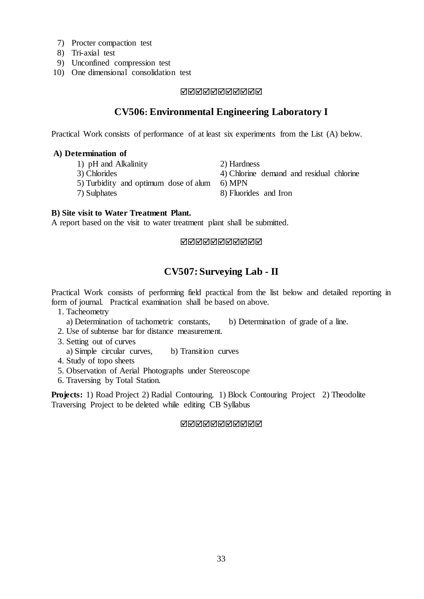- 7) Procter compaction test
- 8) Tri-axial test
- 9) Unconfined compression test
- 10) One dimensional consolidation test

# **MANANANANAN**

# **CV506: Environmental Engineering Laboratory I**

Practical Work consists of performance of at least six experiments from the List (A) below.

# **A) Determination of**

- 1) pH and Alkalinity 2) Hardness
- 
- 
- 3) Chlorides 4) Chlorine demand and residual chlorine 5) Turbidity and optimum dose of alum 6) MPN
- 5) Turbidity and optimum dose of alum
- 7) Sulphates 8) Fluorides and Iron
- 

# **B) Site visit to Water Treatment Plant.**

A report based on the visit to water treatment plant shall be submitted.

## MMMMMMMMMM

# **CV507: Surveying Lab - II**

Practical Work consists of performing field practical from the list below and detailed reporting in form of journal. Practical examination shall be based on above.

- 1. Tacheometry
- a) Determination of tachometric constants, b) Determination of grade of a line.
- 2. Use of subtense bar for distance measurement.
- 3. Setting out of curves
- a) Simple circular curves, b) Transition curves
- 4. Study of topo sheets
- 5. Observation of Aerial Photographs under Stereoscope
- 6. Traversing by Total Station.

**Projects:** 1) Road Project 2) Radial Contouring. 1) Block Contouring Project 2) Theodolite Traversing Project to be deleted while editing CB Syllabus

### **NNANNANNAN**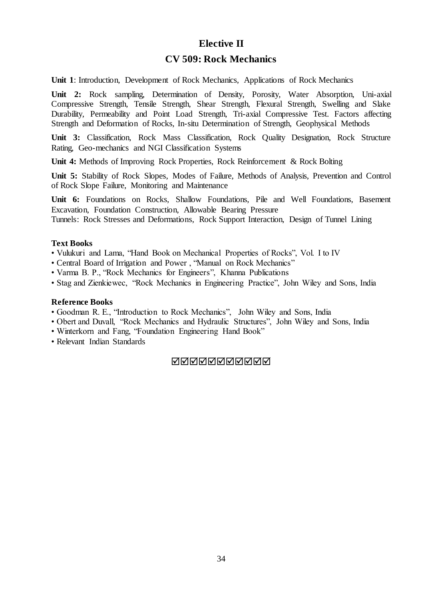# **Elective II**

# **CV 509: Rock Mechanics**

**Unit 1**: Introduction, Development of Rock Mechanics, Applications of Rock Mechanics

**Unit 2:** Rock sampling, Determination of Density, Porosity, Water Absorption, Uni-axial Compressive Strength, Tensile Strength, Shear Strength, Flexural Strength, Swelling and Slake Durability, Permeability and Point Load Strength, Tri-axial Compressive Test. Factors affecting Strength and Deformation of Rocks, In-situ Determination of Strength, Geophysical Methods

**Unit 3:** Classification, Rock Mass Classification, Rock Quality Designation, Rock Structure Rating, Geo-mechanics and NGI Classification Systems

**Unit 4:** Methods of Improving Rock Properties, Rock Reinforcement & Rock Bolting

**Unit 5:** Stability of Rock Slopes, Modes of Failure, Methods of Analysis, Prevention and Control of Rock Slope Failure, Monitoring and Maintenance

**Unit 6:** Foundations on Rocks, Shallow Foundations, Pile and Well Foundations, Basement Excavation, Foundation Construction, Allowable Bearing Pressure

Tunnels: Rock Stresses and Deformations, Rock Support Interaction, Design of Tunnel Lining

# **Text Books**

• Vulukuri and Lama, "Hand Book on Mechanical Properties of Rocks", Vol. I to IV

- Central Board of Irrigation and Power , "Manual on Rock Mechanics"
- Varma B. P., "Rock Mechanics for Engineers", Khanna Publications
- Stag and Zienkiewec, "Rock Mechanics in Engineering Practice", John Wiley and Sons, India

## **Reference Books**

- Goodman R. E., "Introduction to Rock Mechanics", John Wiley and Sons, India
- Obert and Duvall, "Rock Mechanics and Hydraulic Structures", John Wiley and Sons, India
- Winterkorn and Fang, "Foundation Engineering Hand Book"
- Relevant Indian Standards

# <u>NNNNNNNNNN</u>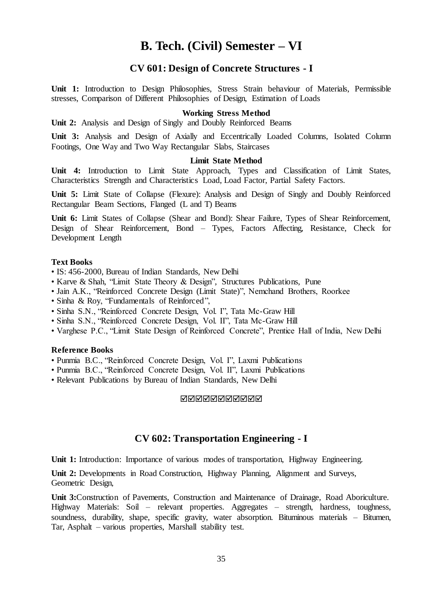# **B. Tech. (Civil) Semester – VI**

# **CV 601: Design of Concrete Structures - I**

**Unit 1:** Introduction to Design Philosophies, Stress Strain behaviour of Materials, Permissible stresses, Comparison of Different Philosophies of Design, Estimation of Loads

# **Working Stress Method**

**Unit 2:** Analysis and Design of Singly and Doubly Reinforced Beams

**Unit 3:** Analysis and Design of Axially and Eccentrically Loaded Columns, Isolated Column Footings, One Way and Two Way Rectangular Slabs, Staircases

# **Limit State Method**

**Unit 4:** Introduction to Limit State Approach, Types and Classification of Limit States, Characteristics Strength and Characteristics Load, Load Factor, Partial Safety Factors.

**Unit 5:** Limit State of Collapse (Flexure): Analysis and Design of Singly and Doubly Reinforced Rectangular Beam Sections, Flanged (L and T) Beams

**Unit 6:** Limit States of Collapse (Shear and Bond): Shear Failure, Types of Shear Reinforcement, Design of Shear Reinforcement, Bond – Types, Factors Affecting, Resistance, Check for Development Length

### **Text Books**

- IS: 456-2000, Bureau of Indian Standards, New Delhi
- Karve & Shah, "Limit State Theory & Design", Structures Publications, Pune
- Jain A.K., "Reinforced Concrete Design (Limit State)", Nemchand Brothers, Roorkee
- Sinha & Roy, "Fundamentals of Reinforced",
- Sinha S.N., "Reinforced Concrete Design, Vol. I", Tata Mc-Graw Hill
- Sinha S.N., "Reinforced Concrete Design, Vol. II", Tata Mc-Graw Hill
- Varghese P.C., "Limit State Design of Reinforced Concrete", Prentice Hall of India, New Delhi

#### **Reference Books**

- Punmia B.C., "Reinforced Concrete Design, Vol. I", Laxmi Publications
- Punmia B.C., "Reinforced Concrete Design, Vol. II", Laxmi Publications
- Relevant Publications by Bureau of Indian Standards, New Delhi

#### **NNNNNNNNNN**

# **CV 602: Transportation Engineering - I**

**Unit 1:** Introduction: Importance of various modes of transportation, Highway Engineering.

**Unit 2:** Developments in Road Construction, Highway Planning, Alignment and Surveys, Geometric Design,

**Unit 3:**Construction of Pavements, Construction and Maintenance of Drainage, Road Aboriculture. Highway Materials: Soil – relevant properties. Aggregates – strength, hardness, toughness, soundness, durability, shape, specific gravity, water absorption. Bituminous materials – Bitumen, Tar, Asphalt – various properties, Marshall stability test.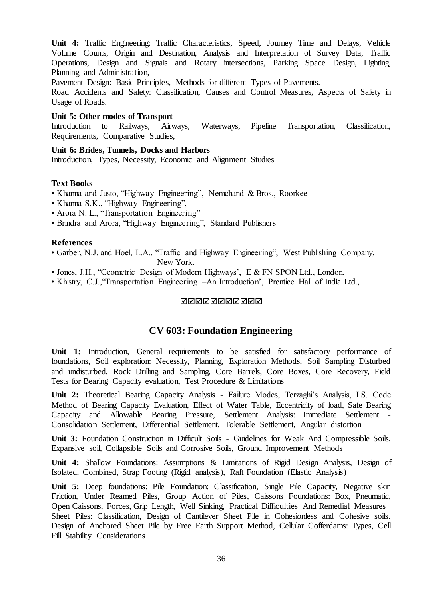**Unit 4:** Traffic Engineering: Traffic Characteristics, Speed, Journey Time and Delays, Vehicle Volume Counts, Origin and Destination, Analysis and Interpretation of Survey Data, Traffic Operations, Design and Signals and Rotary intersections, Parking Space Design, Lighting, Planning and Administration,

Pavement Design: Basic Principles, Methods for different Types of Pavements.

Road Accidents and Safety: Classification, Causes and Control Measures, Aspects of Safety in Usage of Roads.

## **Unit 5: Other modes of Transport**

Introduction to Railways, Airways, Waterways, Pipeline Transportation, Classification, Requirements, Comparative Studies,

**Unit 6: Brides, Tunnels, Docks and Harbors** Introduction, Types, Necessity, Economic and Alignment Studies

# **Text Books**

- Khanna and Justo, "Highway Engineering", Nemchand & Bros., Roorkee
- Khanna S.K., "Highway Engineering",
- Arora N. L., "Transportation Engineering"
- Brindra and Arora, "Highway Engineering", Standard Publishers

# **References**

- Garber, N.J. and Hoel, L.A., "Traffic and Highway Engineering", West Publishing Company, New York.
- Jones, J.H., "Geometric Design of Modern Highways', E & FN SPON Ltd., London.
- Khistry, C.J.,"Transportation Engineering –An Introduction', Prentice Hall of India Ltd.,

### MMMMMMMMMM

# **CV 603: Foundation Engineering**

Unit 1: Introduction, General requirements to be satisfied for satisfactory performance of foundations, Soil exploration: Necessity, Planning, Exploration Methods, Soil Sampling Disturbed and undisturbed, Rock Drilling and Sampling, Core Barrels, Core Boxes, Core Recovery, Field Tests for Bearing Capacity evaluation, Test Procedure & Limitations

**Unit 2:** Theoretical Bearing Capacity Analysis - Failure Modes, Terzaghi's Analysis, I.S. Code Method of Bearing Capacity Evaluation, Effect of Water Table, Eccentricity of load, Safe Bearing Capacity and Allowable Bearing Pressure, Settlement Analysis: Immediate Settlement - Consolidation Settlement, Differential Settlement, Tolerable Settlement, Angular distortion

Unit 3: Foundation Construction in Difficult Soils - Guidelines for Weak And Compressible Soils, Expansive soil, Collapsible Soils and Corrosive Soils, Ground Improvement Methods

**Unit 4:** Shallow Foundations: Assumptions & Limitations of Rigid Design Analysis, Design of Isolated, Combined, Strap Footing (Rigid analysis), Raft Foundation (Elastic Analysis)

**Unit 5:** Deep foundations: Pile Foundation: Classification, Single Pile Capacity, Negative skin Friction, Under Reamed Piles, Group Action of Piles, Caissons Foundations: Box, Pneumatic, Open Caissons, Forces, Grip Length, Well Sinking, Practical Difficulties And Remedial Measures Sheet Piles: Classification, Design of Cantilever Sheet Pile in Cohesionless and Cohesive soils. Design of Anchored Sheet Pile by Free Earth Support Method, Cellular Cofferdams: Types, Cell Fill Stability Considerations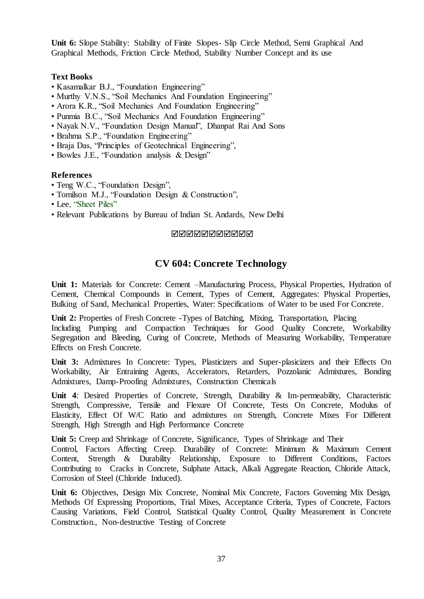**Unit 6:** Slope Stability: Stability of Finite Slopes- Slip Circle Method, Semi Graphical And Graphical Methods, Friction Circle Method, Stability Number Concept and its use

# **Text Books**

- Kasamalkar B.J., "Foundation Engineering"
- Murthy V.N.S., "Soil Mechanics And Foundation Engineering"
- Arora K.R., "Soil Mechanics And Foundation Engineering"
- Punmia B.C., "Soil Mechanics And Foundation Engineering"
- Nayak N.V., "Foundation Design Manual", Dhanpat Rai And Sons
- Brahma S.P., "Foundation Engineering"
- Braja Das, "Principles of Geotechnical Engineering".
- Bowles J.E., "Foundation analysis & Design"

# **References**

- Teng W.C., "Foundation Design",
- Tomilson M.J., "Foundation Design & Construction",
- Lee, "Sheet Piles"
- Relevant Publications by Bureau of Indian St. Andards, New Delhi

# MMMMMMMMMM

# **CV 604: Concrete Technology**

**Unit 1:** Materials for Concrete: Cement –Manufacturing Process, Physical Properties, Hydration of Cement, Chemical Compounds in Cement, Types of Cement, Aggregates: Physical Properties, Bulking of Sand, Mechanical Properties, Water: Specifications of Water to be used For Concrete.

**Unit 2:** Properties of Fresh Concrete -Types of Batching, Mixing, Transportation, Placing Including Pumping and Compaction Techniques for Good Quality Concrete, Workability Segregation and Bleeding, Curing of Concrete, Methods of Measuring Workability, Temperature Effects on Fresh Concrete.

**Unit 3:** Admixtures In Concrete: Types, Plasticizers and Super-plasicizers and their Effects On Workability, Air Entraining Agents, Accelerators, Retarders, Pozzolanic Admixtures, Bonding Admixtures, Damp-Proofing Admixtures, Construction Chemicals

**Unit 4**: Desired Properties of Concrete, Strength, Durability & Im-permeability, Characteristic Strength, Compressive, Tensile and Flexure Of Concrete, Tests On Concrete, Modulus of Elasticity, Effect Of W/C Ratio and admixtures on Strength, Concrete Mixes For Different Strength, High Strength and High Performance Concrete

**Unit 5:** Creep and Shrinkage of Concrete, Significance, Types of Shrinkage and Their

Control, Factors Affecting Creep. Durability of Concrete: Minimum & Maximum Cement Content, Strength & Durability Relationship, Exposure to Different Conditions, Factors Contributing to Cracks in Concrete, Sulphate Attack, Alkali Aggregate Reaction, Chloride Attack, Corrosion of Steel (Chloride Induced).

**Unit 6:** Objectives, Design Mix Concrete, Nominal Mix Concrete, Factors Governing Mix Design, Methods Of Expressing Proportions, Trial Mixes, Acceptance Criteria, Types of Concrete, Factors Causing Variations, Field Control, Statistical Quality Control, Quality Measurement in Concrete Construction., Non-destructive Testing of Concrete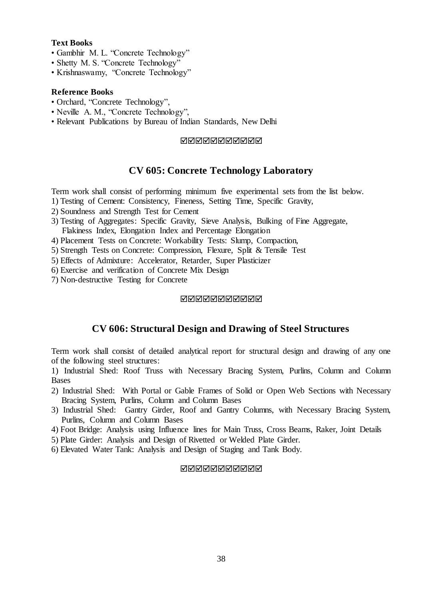# **Text Books**

- Gambhir M. L. "Concrete Technology"
- Shetty M. S. "Concrete Technology"
- Krishnaswamy, "Concrete Technology"

## **Reference Books**

- Orchard, "Concrete Technology",
- Neville A. M., "Concrete Technology",
- Relevant Publications by Bureau of Indian Standards, New Delhi

# **NNNNNNNNNN**

# **CV 605: Concrete Technology Laboratory**

Term work shall consist of performing minimum five experimental sets from the list below.

- 1) Testing of Cement: Consistency, Fineness, Setting Time, Specific Gravity,
- 2) Soundness and Strength Test for Cement
- 3) Testing of Aggregates: Specific Gravity, Sieve Analysis, Bulking of Fine Aggregate, Flakiness Index, Elongation Index and Percentage Elongation
- 4) Placement Tests on Concrete: Workability Tests: Slump, Compaction,
- 5) Strength Tests on Concrete: Compression, Flexure, Split & Tensile Test
- 5) Effects of Admixture: Accelerator, Retarder, Super Plasticizer
- 6) Exercise and verification of Concrete Mix Design
- 7) Non-destructive Testing for Concrete

### **NANANANANA**

# **CV 606: Structural Design and Drawing of Steel Structures**

Term work shall consist of detailed analytical report for structural design and drawing of any one of the following steel structures:

1) Industrial Shed: Roof Truss with Necessary Bracing System, Purlins, Column and Column Bases

- 2) Industrial Shed: With Portal or Gable Frames of Solid or Open Web Sections with Necessary Bracing System, Purlins, Column and Column Bases
- 3) Industrial Shed: Gantry Girder, Roof and Gantry Columns, with Necessary Bracing System, Purlins, Column and Column Bases
- 4) Foot Bridge: Analysis using Influence lines for Main Truss, Cross Beams, Raker, Joint Details
- 5) Plate Girder: Analysis and Design of Rivetted or Welded Plate Girder.
- 6) Elevated Water Tank: Analysis and Design of Staging and Tank Body.

### **MANANANANAN**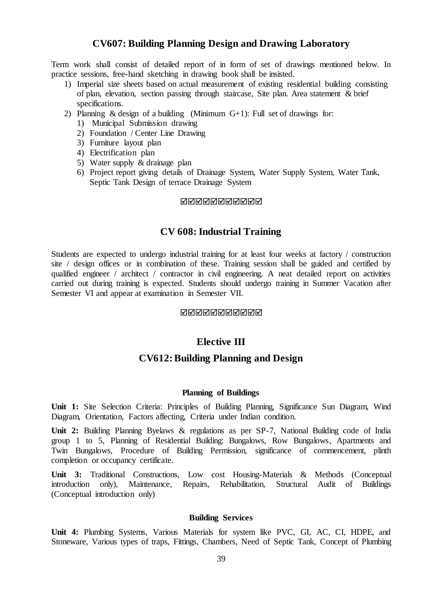# **CV607: Building Planning Design and Drawing Laboratory**

Term work shall consist of detailed report of in form of set of drawings mentioned below. In practice sessions, free-hand sketching in drawing book shall be insisted.

- 1) Imperial size sheets based on actual measurement of existing residential building consisting of plan, elevation, section passing through staircase, Site plan. Area statement & brief specifications.
- 2) Planning & design of a building (Minimum  $G+1$ ): Full set of drawings for:
	- 1) Municipal Submission drawing
	- 2) Foundation / Center Line Drawing
	- 3) Furniture layout plan
	- 4) Electrification plan
	- 5) Water supply & drainage plan
	- 6) Project report giving details of Drainage System, Water Supply System, Water Tank, Septic Tank Design of terrace Drainage System

#### MMMMMMMMMM

# **CV 608: Industrial Training**

Students are expected to undergo industrial training for at least four weeks at factory / construction site / design offices or in combination of these. Training session shall be guided and certified by qualified engineer / architect / contractor in civil engineering. A neat detailed report on activities carried out during training is expected. Students should undergo training in Summer Vacation after Semester VI and appear at examination in Semester VII.

#### **NNNNNNNNNN**

# **Elective III**

# **CV612:Building Planning and Design**

#### **Planning of Buildings**

**Unit 1:** Site Selection Criteria: Principles of Building Planning, Significance Sun Diagram, Wind Diagram, Orientation, Factors affecting, Criteria under Indian condition.

**Unit 2:** Building Planning Byelaws & regulations as per SP-7, National Building code of India group 1 to 5, Planning of Residential Building: Bungalows, Row Bungalows, Apartments and Twin Bungalows, Procedure of Building Permission, significance of commencement, plinth completion or occupancy certificate.

**Unit 3:** Traditional Constructions, Low cost Housing-Materials & Methods (Conceptual introduction only), Maintenance, Repairs, Rehabilitation, Structural Audit of Buildings (Conceptual introduction only)

## **Building Services**

**Unit 4:** Plumbing Systems, Various Materials for system like PVC, GI, AC, CI, HDPE, and Stoneware, Various types of traps, Fittings, Chambers, Need of Septic Tank, Concept of Plumbing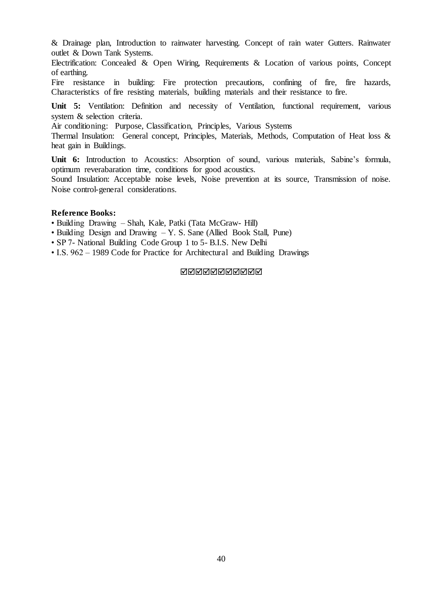& Drainage plan, Introduction to rainwater harvesting. Concept of rain water Gutters. Rainwater outlet & Down Tank Systems.

Electrification: Concealed & Open Wiring, Requirements & Location of various points, Concept of earthing.

Fire resistance in building: Fire protection precautions, confining of fire, fire hazards, Characteristics of fire resisting materials, building materials and their resistance to fire.

**Unit 5:** Ventilation: Definition and necessity of Ventilation, functional requirement, various system & selection criteria.

Air conditioning: Purpose, Classification, Principles, Various Systems

Thermal Insulation: General concept, Principles, Materials, Methods, Computation of Heat loss & heat gain in Buildings.

Unit 6: Introduction to Acoustics: Absorption of sound, various materials, Sabine's formula, optimum reverabaration time, conditions for good acoustics.

Sound Insulation: Acceptable noise levels, Noise prevention at its source, Transmission of noise. Noise control-general considerations.

### **Reference Books:**

• Building Drawing – Shah, Kale, Patki (Tata McGraw- Hill)

- Building Design and Drawing Y. S. Sane (Allied Book Stall, Pune)
- SP 7- National Building Code Group 1 to 5- B.I.S. New Delhi
- I.S. 962 1989 Code for Practice for Architectural and Building Drawings

MMMMMMMMMM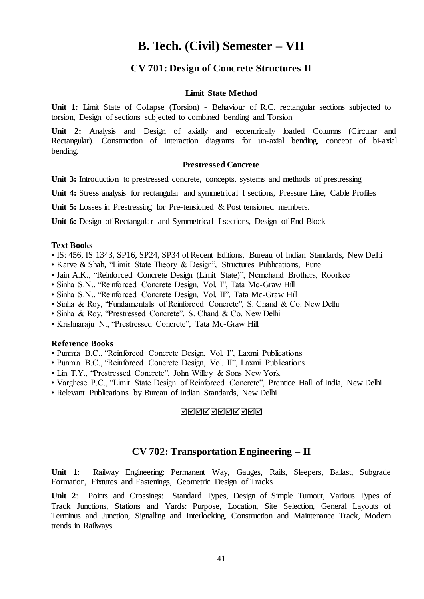# **B. Tech. (Civil) Semester – VII**

# **CV 701: Design of Concrete Structures II**

#### **Limit State Method**

**Unit 1:** Limit State of Collapse (Torsion) - Behaviour of R.C. rectangular sections subjected to torsion, Design of sections subjected to combined bending and Torsion

**Unit 2:** Analysis and Design of axially and eccentrically loaded Columns (Circular and Rectangular). Construction of Interaction diagrams for un-axial bending, concept of bi-axial bending.

#### **Prestressed Concrete**

Unit 3: Introduction to prestressed concrete, concepts, systems and methods of prestressing

**Unit 4:** Stress analysis for rectangular and symmetrical I sections, Pressure Line, Cable Profiles

Unit 5: Losses in Prestressing for Pre-tensioned & Post tensioned members.

**Unit 6:** Design of Rectangular and Symmetrical I sections, Design of End Block

#### **Text Books**

- IS: 456, IS 1343, SP16, SP24, SP34 of Recent Editions, Bureau of Indian Standards, New Delhi
- Karve & Shah, "Limit State Theory & Design", Structures Publications, Pune
- Jain A.K., "Reinforced Concrete Design (Limit State)", Nemchand Brothers, Roorkee
- Sinha S.N., "Reinforced Concrete Design, Vol. I", Tata Mc-Graw Hill
- Sinha S.N., "Reinforced Concrete Design, Vol. II", Tata Mc-Graw Hill
- Sinha & Roy, "Fundamentals of Reinforced Concrete", S. Chand & Co. New Delhi
- Sinha & Roy, "Prestressed Concrete", S. Chand & Co. New Delhi
- Krishnaraju N., "Prestressed Concrete", Tata Mc-Graw Hill

### **Reference Books**

- Punmia B.C., "Reinforced Concrete Design, Vol. I", Laxmi Publications
- Punmia B.C., "Reinforced Concrete Design, Vol. II", Laxmi Publications
- Lin T.Y., "Prestressed Concrete", John Willey & Sons New York
- Varghese P.C., "Limit State Design of Reinforced Concrete", Prentice Hall of India, New Delhi
- Relevant Publications by Bureau of Indian Standards, New Delhi

#### **NNNNNNNNNN**

# **CV 702: Transportation Engineering – II**

**Unit 1**: Railway Engineering: Permanent Way, Gauges, Rails, Sleepers, Ballast, Subgrade Formation, Fixtures and Fastenings, Geometric Design of Tracks

**Unit 2**: Points and Crossings: Standard Types, Design of Simple Turnout, Various Types of Track Junctions, Stations and Yards: Purpose, Location, Site Selection, General Layouts of Terminus and Junction, Signalling and Interlocking, Construction and Maintenance Track, Modern trends in Railways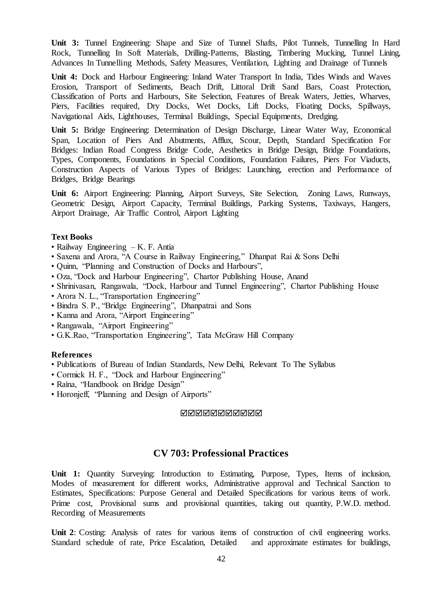**Unit 3:** Tunnel Engineering: Shape and Size of Tunnel Shafts, Pilot Tunnels, Tunnelling In Hard Rock, Tunnelling In Soft Materials, Drilling-Patterns, Blasting, Timbering Mucking, Tunnel Lining, Advances In Tunnelling Methods, Safety Measures, Ventilation, Lighting and Drainage of Tunnels

**Unit 4:** Dock and Harbour Engineering: Inland Water Transport In India, Tides Winds and Waves Erosion, Transport of Sediments, Beach Drift, Littoral Drift Sand Bars, Coast Protection, Classification of Ports and Harbours, Site Selection, Features of Break Waters, Jetties, Wharves, Piers, Facilities required, Dry Docks, Wet Docks, Lift Docks, Floating Docks, Spillways, Navigational Aids, Lighthouses, Terminal Buildings, Special Equipments, Dredging.

**Unit 5:** Bridge Engineering: Determination of Design Discharge, Linear Water Way, Economical Span, Location of Piers And Abutments, Afflux, Scour, Depth, Standard Specification For Bridges: Indian Road Congress Bridge Code, Aesthetics in Bridge Design, Bridge Foundations, Types, Components, Foundations in Special Conditions, Foundation Failures, Piers For Viaducts, Construction Aspects of Various Types of Bridges: Launching, erection and Performance of Bridges, Bridge Bearings

**Unit 6:** Airport Engineering: Planning, Airport Surveys, Site Selection, Zoning Laws, Runways, Geometric Design, Airport Capacity, Terminal Buildings, Parking Systems, Taxiways, Hangers, Airport Drainage, Air Traffic Control, Airport Lighting

# **Text Books**

- Railway Engineering K. F. Antia
- Saxena and Arora, "A Course in Railway Engineering," Dhanpat Rai & Sons Delhi
- Quinn, "Planning and Construction of Docks and Harbours",
- Oza, "Dock and Harbour Engineering", Chartor Publishing House, Anand
- Shrinivasan, Rangawala, "Dock, Harbour and Tunnel Engineering", Chartor Publishing House
- Arora N. L., "Transportation Engineering"
- Bindra S. P., "Bridge Engineering", Dhanpatrai and Sons
- Kanna and Arora, "Airport Engineering"
- Rangawala, "Airport Engineering"
- G.K.Rao, "Transportation Engineering", Tata McGraw Hill Company

# **References**

- Publications of Bureau of Indian Standards, New Delhi, Relevant To The Syllabus
- Cormick H. F., "Dock and Harbour Engineering"
- Raina, "Handbook on Bridge Design"
- Horonjeff, "Planning and Design of Airports"

### **NNNNNNNNNN**

# **CV 703: Professional Practices**

**Unit 1:** Quantity Surveying: Introduction to Estimating, Purpose, Types, Items of inclusion, Modes of measurement for different works, Administrative approval and Technical Sanction to Estimates, Specifications: Purpose General and Detailed Specifications for various items of work. Prime cost, Provisional sums and provisional quantities, taking out quantity, P.W.D. method. Recording of Measurements

**Unit 2**: Costing: Analysis of rates for various items of construction of civil engineering works. Standard schedule of rate, Price Escalation, Detailed and approximate estimates for buildings,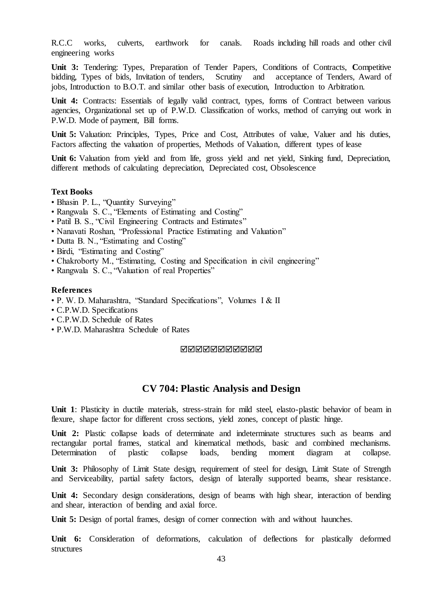R.C.C works, culverts, earthwork for canals. Roads including hill roads and other civil engineering works

Unit 3: Tendering: Types, Preparation of Tender Papers, Conditions of Contracts, Competitive bidding, Types of bids, Invitation of tenders, Scrutiny and acceptance of Tenders, Award of bidding, Types of bids, Invitation of tenders, jobs, Introduction to B.O.T. and similar other basis of execution, Introduction to Arbitration.

Unit 4: Contracts: Essentials of legally valid contract, types, forms of Contract between various agencies, Organizational set up of P.W.D. Classification of works, method of carrying out work in P.W.D. Mode of payment, Bill forms.

**Unit 5:** Valuation: Principles, Types, Price and Cost, Attributes of value, Valuer and his duties, Factors affecting the valuation of properties, Methods of Valuation, different types of lease

**Unit 6:** Valuation from yield and from life, gross yield and net yield, Sinking fund, Depreciation, different methods of calculating depreciation, Depreciated cost, Obsolescence

# **Text Books**

- Bhasin P. L., "Quantity Surveying"
- Rangwala S. C., "Elements of Estimating and Costing"
- Patil B. S., "Civil Engineering Contracts and Estimates"
- Nanavati Roshan, "Professional Practice Estimating and Valuation"
- Dutta B. N., "Estimating and Costing"
- Birdi, "Estimating and Costing"
- Chakroborty M., "Estimating, Costing and Specification in civil engineering"
- Rangwala S. C., "Valuation of real Properties"

#### **References**

- P. W. D. Maharashtra, "Standard Specifications", Volumes I & II
- C.P.W.D. Specifications
- C.P.W.D. Schedule of Rates
- P.W.D. Maharashtra Schedule of Rates

#### <u>NNNNNNNNNNN</u>

# **CV 704: Plastic Analysis and Design**

**Unit 1**: Plasticity in ductile materials, stress-strain for mild steel, elasto-plastic behavior of beam in flexure, shape factor for different cross sections, yield zones, concept of plastic hinge.

Unit 2: Plastic collapse loads of determinate and indeterminate structures such as beams and rectangular portal frames, statical and kinematical methods, basic and combined mechanisms. Determination of plastic collapse loads, bending moment diagram at collapse.

**Unit 3:** Philosophy of Limit State design, requirement of steel for design, Limit State of Strength and Serviceability, partial safety factors, design of laterally supported beams, shear resistance.

**Unit 4:** Secondary design considerations, design of beams with high shear, interaction of bending and shear, interaction of bending and axial force.

Unit 5: Design of portal frames, design of corner connection with and without haunches.

Unit 6: Consideration of deformations, calculation of deflections for plastically deformed structures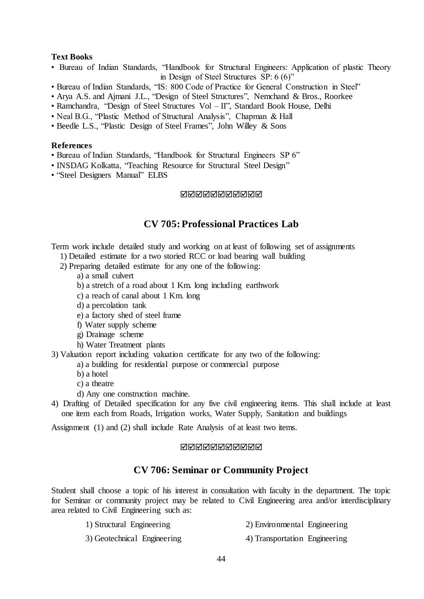# **Text Books**

- Bureau of Indian Standards, "Handbook for Structural Engineers: Application of plastic Theory in Design of Steel Structures SP: 6 (6)"
- Bureau of Indian Standards, "IS: 800 Code of Practice for General Construction in Steel"
- Arya A.S. and Ajmani J.L., "Design of Steel Structures", Nemchand & Bros., Roorkee
- Ramchandra, "Design of Steel Structures Vol II", Standard Book House, Delhi
- Neal B.G., "Plastic Method of Structural Analysis", Chapman & Hall
- Beedle L.S., "Plastic Design of Steel Frames", John Willey & Sons

# **References**

- Bureau of Indian Standards, "Handbook for Structural Engineers SP 6"
- INSDAG Kolkatta, "Teaching Resource for Structural Steel Design"
- "Steel Designers Manual" ELBS

### MMMMMMMMMM

# **CV 705:Professional Practices Lab**

Term work include detailed study and working on at least of following set of assignments

- 1) Detailed estimate for a two storied RCC or load bearing wall building
- 2) Preparing detailed estimate for any one of the following:
	- a) a small culvert
	- b) a stretch of a road about 1 Km. long including earthwork
	- c) a reach of canal about 1 Km. long
	- d) a percolation tank
	- e) a factory shed of steel frame
	- f) Water supply scheme
	- g) Drainage scheme
	- h) Water Treatment plants
- 3) Valuation report including valuation certificate for any two of the following:
	- a) a building for residential purpose or commercial purpose
	- b) a hotel
	- c) a theatre
	- d) Any one construction machine.
- 4) Drafting of Detailed specification for any five civil engineering items. This shall include at least one item each from Roads, Irrigation works, Water Supply, Sanitation and buildings

Assignment (1) and (2) shall include Rate Analysis of at least two items.

## **NNNNNNNNNN**

# **CV 706: Seminar or Community Project**

Student shall choose a topic of his interest in consultation with faculty in the department. The topic for Seminar or community project may be related to Civil Engineering area and/or interdisciplinary area related to Civil Engineering such as:

- 
- 1) Structural Engineering 2) Environmental Engineering
- 3) Geotechnical Engineering 4) Transportation Engineering
	-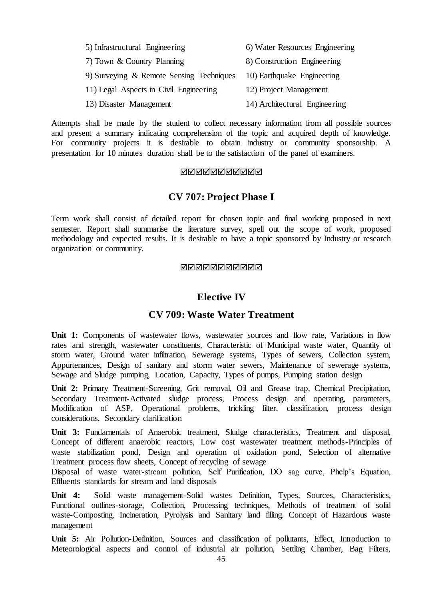| 5) Infrastructural Engineering           | 6) Water Resources Engineering |  |  |  |
|------------------------------------------|--------------------------------|--|--|--|
| 7) Town & Country Planning               | 8) Construction Engineering    |  |  |  |
| 9) Surveying & Remote Sensing Techniques | 10) Earthquake Engineering     |  |  |  |
| 11) Legal Aspects in Civil Engineering   | 12) Project Management         |  |  |  |
| 13) Disaster Management                  | 14) Architectural Engineering  |  |  |  |

Attempts shall be made by the student to collect necessary information from all possible sources and present a summary indicating comprehension of the topic and acquired depth of knowledge. For community projects it is desirable to obtain industry or community sponsorship. A presentation for 10 minutes duration shall be to the satisfaction of the panel of examiners.

# MMMMMMMMMM

# **CV 707: Project Phase I**

Term work shall consist of detailed report for chosen topic and final working proposed in next semester. Report shall summarise the literature survey, spell out the scope of work, proposed methodology and expected results. It is desirable to have a topic sponsored by Industry or research organization or community.

# **NNNNNNNNNN**

# **Elective IV**

# **CV 709: Waste Water Treatment**

Unit 1: Components of wastewater flows, wastewater sources and flow rate, Variations in flow rates and strength, wastewater constituents, Characteristic of Municipal waste water, Quantity of storm water, Ground water infiltration, Sewerage systems, Types of sewers, Collection system, Appurtenances, Design of sanitary and storm water sewers, Maintenance of sewerage systems, Sewage and Sludge pumping, Location, Capacity, Types of pumps, Pumping station design

**Unit 2:** Primary Treatment-Screening, Grit removal, Oil and Grease trap, Chemical Precipitation, Secondary Treatment-Activated sludge process, Process design and operating, parameters, Modification of ASP, Operational problems, trickling filter, classification, process design considerations, Secondary clarification

**Unit 3:** Fundamentals of Anaerobic treatment, Sludge characteristics, Treatment and disposal, Concept of different anaerobic reactors, Low cost wastewater treatment methods-Principles of waste stabilization pond, Design and operation of oxidation pond, Selection of alternative Treatment process flow sheets, Concept of recycling of sewage

Disposal of waste water-stream pollution, Self Purification, DO sag curve, Phelp's Equation, Effluents standards for stream and land disposals

**Unit 4:** Solid waste management-Solid wastes Definition, Types, Sources, Characteristics, Functional outlines-storage, Collection, Processing techniques, Methods of treatment of solid waste-Composting, Incineration, Pyrolysis and Sanitary land filling. Concept of Hazardous waste management

**Unit 5:** Air Pollution-Definition, Sources and classification of pollutants, Effect, Introduction to Meteorological aspects and control of industrial air pollution, Settling Chamber, Bag Filters,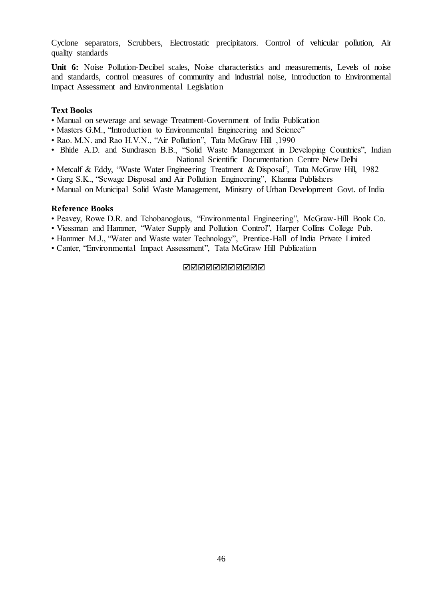Cyclone separators, Scrubbers, Electrostatic precipitators. Control of vehicular pollution, Air quality standards

**Unit 6:** Noise Pollution-Decibel scales, Noise characteristics and measurements, Levels of noise and standards, control measures of community and industrial noise, Introduction to Environmental Impact Assessment and Environmental Legislation

## **Text Books**

- Manual on sewerage and sewage Treatment-Government of India Publication
- Masters G.M., "Introduction to Environmental Engineering and Science"
- Rao. M.N. and Rao H.V.N., "Air Pollution", Tata McGraw Hill ,1990
- Bhide A.D. and Sundrasen B.B., "Solid Waste Management in Developing Countries", Indian National Scientific Documentation Centre New Delhi
- Metcalf & Eddy, "Waste Water Engineering Treatment & Disposal", Tata McGraw Hill, 1982
- Garg S.K., "Sewage Disposal and Air Pollution Engineering", Khanna Publishers
- Manual on Municipal Solid Waste Management, Ministry of Urban Development Govt. of India

#### **Reference Books**

- Peavey, Rowe D.R. and Tchobanoglous, "Environmental Engineering", McGraw-Hill Book Co.
- Viessman and Hammer, "Water Supply and Pollution Control", Harper Collins College Pub.
- Hammer M.J., "Water and Waste water Technology", Prentice-Hall of India Private Limited
- Canter, "Environmental Impact Assessment", Tata McGraw Hill Publication

#### **NNNNNNNNNN**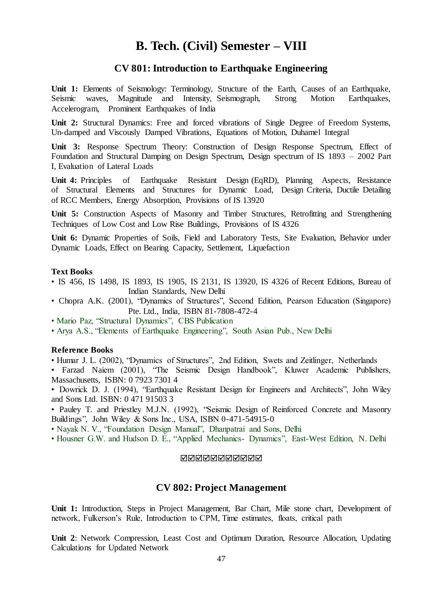# **B. Tech. (Civil) Semester – VIII**

# **CV 801: Introduction to Earthquake Engineering**

**Unit 1:** Elements of Seismology: Terminology, Structure of the Earth, Causes of an Earthquake, Seismic waves, Magnitude and Intensity, Seismograph, Strong Motion Earthquakes, Accelerogram, Prominent Earthquakes of India

**Unit 2:** Structural Dynamics: Free and forced vibrations of Single Degree of Freedom Systems, Un-damped and Viscously Damped Vibrations, Equations of Motion, Duhamel Integral

**Unit 3:** Response Spectrum Theory: Construction of Design Response Spectrum, Effect of Foundation and Structural Damping on Design Spectrum, Design spectrum of IS 1893 – 2002 Part I, Evaluation of Lateral Loads

**Unit 4:** Principles of Earthquake Resistant Design (EqRD), Planning Aspects, Resistance of Structural Elements and Structures for Dynamic Load, Design Criteria, Ductile Detailing of RCC Members, Energy Absorption, Provisions of IS 13920

**Unit 5:** Construction Aspects of Masonry and Timber Structures, Retrofitting and Strengthening Techniques of Low Cost and Low Rise Buildings, Provisions of IS 4326

**Unit 6:** Dynamic Properties of Soils, Field and Laboratory Tests, Site Evaluation, Behavior under Dynamic Loads, Effect on Bearing Capacity, Settlement, Liquefaction

### **Text Books**

- IS 456, IS 1498, IS 1893, IS 1905, IS 2131, IS 13920, IS 4326 of Recent Editions, Bureau of Indian Standards, New Delhi
- Chopra A.K. (2001), "Dynamics of Structures", Second Edition, Pearson Education (Singapore) Pte. Ltd., India, ISBN 81-7808-472-4
- Mario Paz, "Structural Dynamics", CBS Publication
- Arya A.S., "Elements of Earthquake Engineering", South Asian Pub., New Delhi

# **Reference Books**

• Humar J. L. (2002), "Dynamics of Structures", 2nd Edition, Swets and Zeitlinger, Netherlands

• Farzad Naiem (2001), "The Seismic Design Handbook", Kluwer Academic Publishers, Massachusetts, ISBN: 0 7923 7301 4

• Dowrick D. J. (1994), "Earthquake Resistant Design for Engineers and Architects", John Wiley and Sons Ltd. ISBN: 0 471 91503 3

• Pauley T. and Priestley M.J.N. (1992), "Seismic Design of Reinforced Concrete and Masonry Buildings", John Wiley & Sons Inc., USA, ISBN 0-471-54915-0

- Nayak N. V., "Foundation Design Manual", Dhanpatrai and Sons, Delhi
- Housner G.W. and Hudson D. E., "Applied Mechanics- Dynamics", East-West Edition, N. Delhi

# **NNANNANNAN**

# **CV 802: Project Management**

**Unit 1:** Introduction, Steps in Project Management, Bar Chart, Mile stone chart, Development of network, Fulkerson's Rule, Introduction to CPM, Time estimates, floats, critical path

**Unit 2**: Network Compression, Least Cost and Optimum Duration, Resource Allocation, Updating Calculations for Updated Network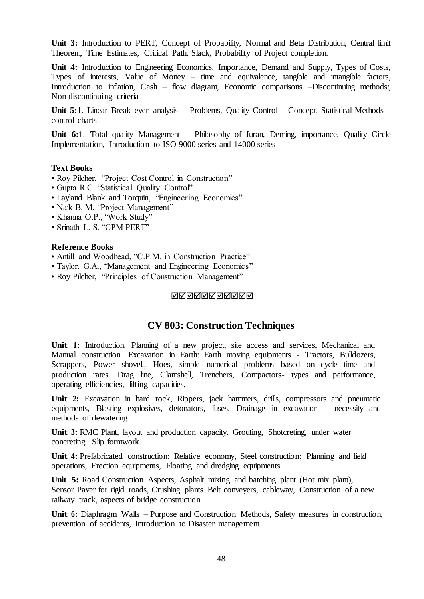**Unit 3:** Introduction to PERT, Concept of Probability, Normal and Beta Distribution, Central limit Theorem, Time Estimates, Critical Path, Slack, Probability of Project completion.

**Unit 4:** Introduction to Engineering Economics, Importance, Demand and Supply, Types of Costs, Types of interests, Value of Money – time and equivalence, tangible and intangible factors, Introduction to inflation, Cash – flow diagram, Economic comparisons –Discontinuing methods:, Non discontinuing criteria

**Unit 5:**1. Linear Break even analysis – Problems, Quality Control – Concept, Statistical Methods – control charts

**Unit 6:**1. Total quality Management – Philosophy of Juran, Deming, importance, Quality Circle Implementation, Introduction to ISO 9000 series and 14000 series

# **Text Books**

- Roy Pilcher, "Project Cost Control in Construction"
- Gupta R.C. "Statistical Quality Control"
- Layland Blank and Torquin, "Engineering Economics"
- Naik B. M. "Project Management"
- Khanna O.P., "Work Study"
- Srinath L. S. "CPM PERT"

## **Reference Books**

- Antill and Woodhead, "C.P.M. in Construction Practice"
- Taylor. G.A., "Management and Engineering Economics"
- Roy Pilcher, "Principles of Construction Management"

#### MMMMMMMMMM

# **CV 803: Construction Techniques**

Unit 1: Introduction, Planning of a new project, site access and services, Mechanical and Manual construction. Excavation in Earth: Earth moving equipments - Tractors, Bulldozers, Scrappers, Power shovel, Hoes, simple numerical problems based on cycle time and production rates. Drag line, Clamshell, Trenchers, Compactors- types and performance, operating efficiencies, lifting capacities,

Unit 2: Excavation in hard rock, Rippers, jack hammers, drills, compressors and pneumatic equipments, Blasting explosives, detonators, fuses, Drainage in excavation – necessity and methods of dewatering.

**Unit 3:** RMC Plant, layout and production capacity. Grouting, Shotcreting, under water concreting. Slip formwork

**Unit 4:** Prefabricated construction: Relative economy, Steel construction: Planning and field operations, Erection equipments, Floating and dredging equipments.

**Unit 5:** Road Construction Aspects, Asphalt mixing and batching plant (Hot mix plant), Sensor Paver for rigid roads, Crushing plants Belt conveyers, cableway, Construction of a new railway track, aspects of bridge construction

Unit 6: Diaphragm Walls – Purpose and Construction Methods, Safety measures in construction, prevention of accidents, Introduction to Disaster management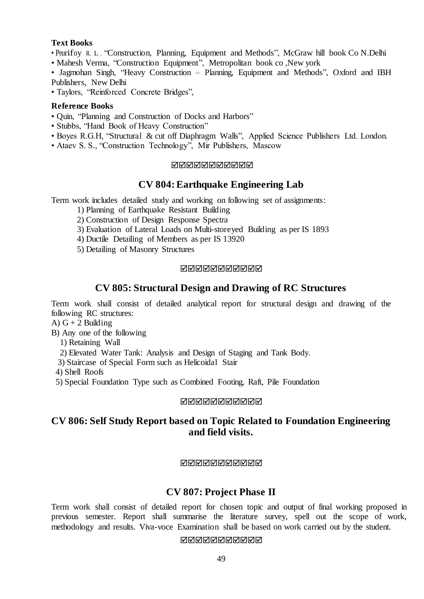# **Text Books**

- Peurifoy R. <sup>L</sup> . "Construction, Planning, Equipment and Methods", McGraw hill book Co N.Delhi
- Mahesh Verma, "Construction Equipment", Metropolitan book co ,New york
- Jagmohan Singh, "Heavy Construction Planning, Equipment and Methods", Oxford and IBH Publishers, New Delhi
- Taylors, "Reinforced Concrete Bridges",

# **Reference Books**

- Quin, "Planning and Construction of Docks and Harbors"
- Stubbs, "Hand Book of Heavy Construction"
- Boyes R.G.H, "Structural & cut off Diaphragm Walls", Applied Science Publishers Ltd. London.
- Ataev S. S., "Construction Technology", Mir Publishers, Mascow

# **NANANANANA**

# **CV 804:Earthquake Engineering Lab**

Term work includes detailed study and working on following set of assignments:

- 1) Planning of Earthquake Resistant Building
- 2) Construction of Design Response Spectra
- 3) Evaluation of Lateral Loads on Multi-storeyed Building as per IS 1893
- 4) Ductile Detailing of Members as per IS 13920
- 5) Detailing of Masonry Structures

# **NANANANANA**

# **CV 805: Structural Design and Drawing of RC Structures**

Term work shall consist of detailed analytical report for structural design and drawing of the following RC structures:

A)  $G + 2$  Building

B) Any one of the following

1) Retaining Wall

2) Elevated Water Tank: Analysis and Design of Staging and Tank Body.

3) Staircase of Special Form such as Helicoidal Stair

4) Shell Roofs

5) Special Foundation Type such as Combined Footing, Raft, Pile Foundation

### **NNNNNNNNNN**

# **CV 806: Self Study Report based on Topic Related to Foundation Engineering and field visits.**

# **NNNNNNNNNN**

# **CV 807: Project Phase II**

Term work shall consist of detailed report for chosen topic and output of final working proposed in previous semester. Report shall summarise the literature survey, spell out the scope of work, methodology and results. Viva-voce Examination shall be based on work carried out by the student.

# **NANANANANAN**